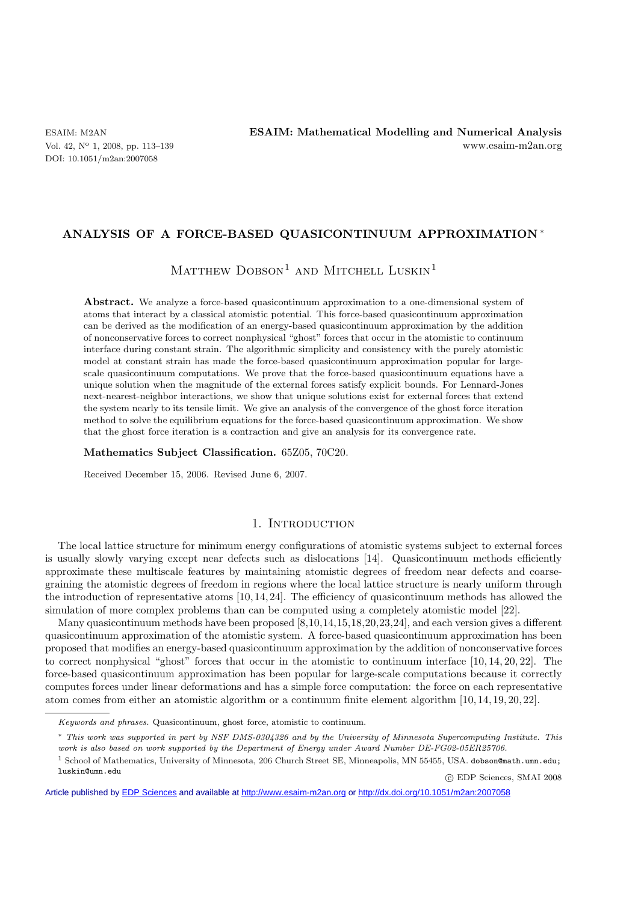DOI: 10.1051/m2an:2007058

# **ANALYSIS OF A FORCE-BASED QUASICONTINUUM APPROXIMATION** ∗

MATTHEW  $D$ OBSON<sup>1</sup> AND MITCHELL LUSKIN<sup>1</sup>

Abstract. We analyze a force-based quasicontinuum approximation to a one-dimensional system of atoms that interact by a classical atomistic potential. This force-based quasicontinuum approximation can be derived as the modification of an energy-based quasicontinuum approximation by the addition of nonconservative forces to correct nonphysical "ghost" forces that occur in the atomistic to continuum interface during constant strain. The algorithmic simplicity and consistency with the purely atomistic model at constant strain has made the force-based quasicontinuum approximation popular for largescale quasicontinuum computations. We prove that the force-based quasicontinuum equations have a unique solution when the magnitude of the external forces satisfy explicit bounds. For Lennard-Jones next-nearest-neighbor interactions, we show that unique solutions exist for external forces that extend the system nearly to its tensile limit. We give an analysis of the convergence of the ghost force iteration method to solve the equilibrium equations for the force-based quasicontinuum approximation. We show that the ghost force iteration is a contraction and give an analysis for its convergence rate.

**Mathematics Subject Classification.** 65Z05, 70C20.

Received December 15, 2006. Revised June 6, 2007.

# 1. INTRODUCTION

The local lattice structure for minimum energy configurations of atomistic systems subject to external forces is usually slowly varying except near defects such as dislocations [14]. Quasicontinuum methods efficiently approximate these multiscale features by maintaining atomistic degrees of freedom near defects and coarsegraining the atomistic degrees of freedom in regions where the local lattice structure is nearly uniform through the introduction of representative atoms [10, 14, 24]. The efficiency of quasicontinuum methods has allowed the simulation of more complex problems than can be computed using a completely atomistic model [22].

Many quasicontinuum methods have been proposed [8,10,14,15,18,20,23,24], and each version gives a different quasicontinuum approximation of the atomistic system. A force-based quasicontinuum approximation has been proposed that modifies an energy-based quasicontinuum approximation by the addition of nonconservative forces to correct nonphysical "ghost" forces that occur in the atomistic to continuum interface [10, 14, 20, 22]. The force-based quasicontinuum approximation has been popular for large-scale computations because it correctly computes forces under linear deformations and has a simple force computation: the force on each representative atom comes from either an atomistic algorithm or a continuum finite element algorithm [10, 14, 19, 20, 22].

-c EDP Sciences, SMAI 2008

Article published by [EDP Sciences](http://www.edpsciences.org) and available at<http://www.esaim-m2an.org>or<http://dx.doi.org/10.1051/m2an:2007058>

*Keywords and phrases.* Quasicontinuum, ghost force, atomistic to continuum.

<sup>∗</sup> *This work was supported in part by NSF DMS-0304326 and by the University of Minnesota Supercomputing Institute. This work is also based on work supported by the Department of Energy under Award Number DE-FG02-05ER25706.*

<sup>1</sup> School of Mathematics, University of Minnesota, 206 Church Street SE, Minneapolis, MN 55455, USA. dobson@math.umn.edu; luskin@umn.edu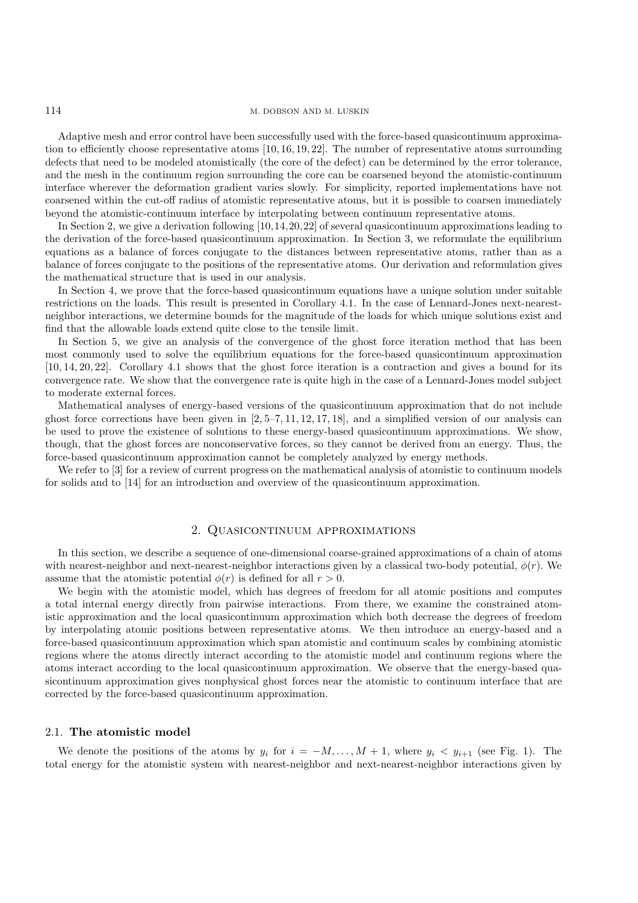114 M. DOBSON AND M. LUSKIN

Adaptive mesh and error control have been successfully used with the force-based quasicontinuum approximation to efficiently choose representative atoms [10, 16, 19, 22]. The number of representative atoms surrounding defects that need to be modeled atomistically (the core of the defect) can be determined by the error tolerance, and the mesh in the continuum region surrounding the core can be coarsened beyond the atomistic-continuum interface wherever the deformation gradient varies slowly. For simplicity, reported implementations have not coarsened within the cut-off radius of atomistic representative atoms, but it is possible to coarsen immediately beyond the atomistic-continuum interface by interpolating between continuum representative atoms.

In Section 2, we give a derivation following [10,14,20,22] of several quasicontinuum approximations leading to the derivation of the force-based quasicontinuum approximation. In Section 3, we reformulate the equilibrium equations as a balance of forces conjugate to the distances between representative atoms, rather than as a balance of forces conjugate to the positions of the representative atoms. Our derivation and reformulation gives the mathematical structure that is used in our analysis.

In Section 4, we prove that the force-based quasicontinuum equations have a unique solution under suitable restrictions on the loads. This result is presented in Corollary 4.1. In the case of Lennard-Jones next-nearestneighbor interactions, we determine bounds for the magnitude of the loads for which unique solutions exist and find that the allowable loads extend quite close to the tensile limit.

In Section 5, we give an analysis of the convergence of the ghost force iteration method that has been most commonly used to solve the equilibrium equations for the force-based quasicontinuum approximation [10, 14, 20, 22]. Corollary 4.1 shows that the ghost force iteration is a contraction and gives a bound for its convergence rate. We show that the convergence rate is quite high in the case of a Lennard-Jones model subject to moderate external forces.

Mathematical analyses of energy-based versions of the quasicontinuum approximation that do not include ghost force corrections have been given in  $[2, 5-7, 11, 12, 17, 18]$ , and a simplified version of our analysis can be used to prove the existence of solutions to these energy-based quasicontinuum approximations. We show, though, that the ghost forces are nonconservative forces, so they cannot be derived from an energy. Thus, the force-based quasicontinuum approximation cannot be completely analyzed by energy methods.

We refer to  $[3]$  for a review of current progress on the mathematical analysis of atomistic to continuum models for solids and to [14] for an introduction and overview of the quasicontinuum approximation.

# 2. Quasicontinuum approximations

In this section, we describe a sequence of one-dimensional coarse-grained approximations of a chain of atoms with nearest-neighbor and next-nearest-neighbor interactions given by a classical two-body potential,  $\phi(r)$ . We assume that the atomistic potential  $\phi(r)$  is defined for all  $r > 0$ .

We begin with the atomistic model, which has degrees of freedom for all atomic positions and computes a total internal energy directly from pairwise interactions. From there, we examine the constrained atomistic approximation and the local quasicontinuum approximation which both decrease the degrees of freedom by interpolating atomic positions between representative atoms. We then introduce an energy-based and a force-based quasicontinuum approximation which span atomistic and continuum scales by combining atomistic regions where the atoms directly interact according to the atomistic model and continuum regions where the atoms interact according to the local quasicontinuum approximation. We observe that the energy-based quasicontinuum approximation gives nonphysical ghost forces near the atomistic to continuum interface that are corrected by the force-based quasicontinuum approximation.

# 2.1. **The atomistic model**

We denote the positions of the atoms by  $y_i$  for  $i = -M, \ldots, M + 1$ , where  $y_i < y_{i+1}$  (see Fig. 1). The total energy for the atomistic system with nearest-neighbor and next-nearest-neighbor interactions given by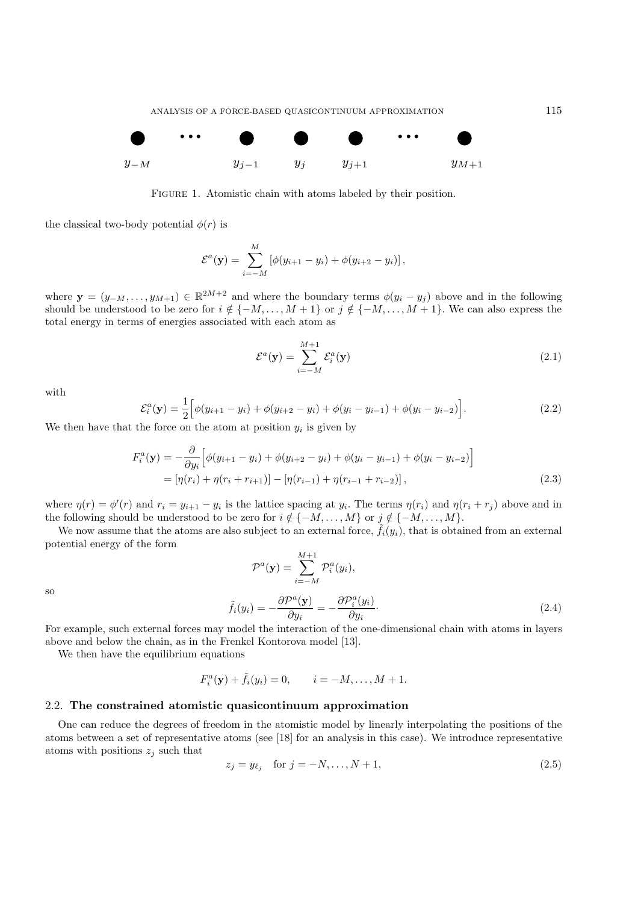

FIGURE 1. Atomistic chain with atoms labeled by their position.

the classical two-body potential  $\phi(r)$  is

$$
\mathcal{E}^{a}(\mathbf{y}) = \sum_{i=-M}^{M} [\phi(y_{i+1} - y_i) + \phi(y_{i+2} - y_i)],
$$

where **y** =  $(y_{-M},...,y_{M+1}) \in \mathbb{R}^{2M+2}$  and where the boundary terms  $\phi(y_i - y_j)$  above and in the following should be understood to be zero for  $i \notin \{-M, \ldots, M + 1\}$  or  $j \notin \{-M, \ldots, M + 1\}$ . We can also express the total energy in terms of energies associated with each atom as

$$
\mathcal{E}^a(\mathbf{y}) = \sum_{i=-M}^{M+1} \mathcal{E}_i^a(\mathbf{y})
$$
\n(2.1)

with

$$
\mathcal{E}_i^a(\mathbf{y}) = \frac{1}{2} \Big[ \phi(y_{i+1} - y_i) + \phi(y_{i+2} - y_i) + \phi(y_i - y_{i-1}) + \phi(y_i - y_{i-2}) \Big]. \tag{2.2}
$$

We then have that the force on the atom at position  $y_i$  is given by

$$
F_i^a(\mathbf{y}) = -\frac{\partial}{\partial y_i} \Big[ \phi(y_{i+1} - y_i) + \phi(y_{i+2} - y_i) + \phi(y_i - y_{i-1}) + \phi(y_i - y_{i-2}) \Big]
$$
  
=  $[\eta(r_i) + \eta(r_i + r_{i+1})] - [\eta(r_{i-1}) + \eta(r_{i-1} + r_{i-2})],$  (2.3)

where  $\eta(r) = \phi'(r)$  and  $r_i = y_{i+1} - y_i$  is the lattice spacing at  $y_i$ . The terms  $\eta(r_i)$  and  $\eta(r_i + r_j)$  above and in the following should be understood to be zero for  $i \notin \{-M, \ldots, M\}$  or  $j \notin \{-M, \ldots, M\}.$ 

We now assume that the atoms are also subject to an external force,  $f_i(y_i)$ , that is obtained from an external potential energy of the form

$$
\mathcal{P}^{a}(\mathbf{y}) = \sum_{i=-M}^{M+1} \mathcal{P}_{i}^{a}(y_{i}),
$$

$$
\tilde{f}_{i}(y_{i}) = -\frac{\partial \mathcal{P}^{a}(\mathbf{y})}{\partial y_{i}} = -\frac{\partial \mathcal{P}_{i}^{a}(y_{i})}{\partial y_{i}}.
$$
(2.4)

so

$$
f_i(y_i) = -\frac{\partial g_i}{\partial y_i} = -\frac{\partial g_i}{\partial y_i}
$$
  
For example, such external forces may model the interaction of the one-dimensional chain with atoms in layers

above and below the chain, as in the Frenkel Kontorova model [13].

We then have the equilibrium equations

$$
F_i^a(\mathbf{y}) + \tilde{f}_i(y_i) = 0, \qquad i = -M, ..., M + 1.
$$

#### 2.2. **The constrained atomistic quasicontinuum approximation**

One can reduce the degrees of freedom in the atomistic model by linearly interpolating the positions of the atoms between a set of representative atoms (see [18] for an analysis in this case). We introduce representative atoms with positions  $z_j$  such that

$$
z_j = y_{\ell_j} \quad \text{for } j = -N, \dots, N+1,\tag{2.5}
$$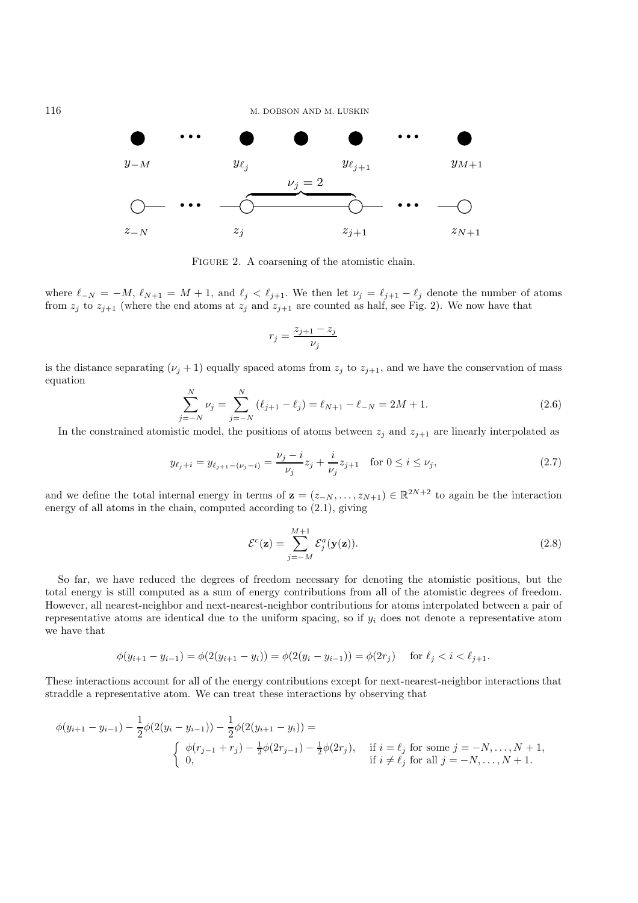

FIGURE 2. A coarsening of the atomistic chain.

where  $\ell_{-N} = -M$ ,  $\ell_{N+1} = M + 1$ , and  $\ell_j < \ell_{j+1}$ . We then let  $\nu_j = \ell_{j+1} - \ell_j$  denote the number of atoms from  $z_j$  to  $z_{j+1}$  (where the end atoms at  $z_j$  and  $z_{j+1}$  are counted as half, see Fig. 2). We now have that

$$
r_j = \frac{z_{j+1} - z_j}{\nu_j}
$$

is the distance separating  $(\nu_j + 1)$  equally spaced atoms from  $z_j$  to  $z_{j+1}$ , and we have the conservation of mass equation

$$
\sum_{j=-N}^{N} \nu_j = \sum_{j=-N}^{N} (\ell_{j+1} - \ell_j) = \ell_{N+1} - \ell_{-N} = 2M + 1.
$$
 (2.6)

In the constrained atomistic model, the positions of atoms between  $z_i$  and  $z_{i+1}$  are linearly interpolated as

$$
y_{\ell_j + i} = y_{\ell_{j+1} - (\nu_j - i)} = \frac{\nu_j - i}{\nu_j} z_j + \frac{i}{\nu_j} z_{j+1} \quad \text{for } 0 \le i \le \nu_j,
$$
\n(2.7)

and we define the total internal energy in terms of  $\mathbf{z} = (z_{-N}, \ldots, z_{N+1}) \in \mathbb{R}^{2N+2}$  to again be the interaction energy of all atoms in the chain, computed according to (2.1), giving

$$
\mathcal{E}^c(\mathbf{z}) = \sum_{j=-M}^{M+1} \mathcal{E}_j^a(\mathbf{y}(\mathbf{z})).
$$
\n(2.8)

So far, we have reduced the degrees of freedom necessary for denoting the atomistic positions, but the total energy is still computed as a sum of energy contributions from all of the atomistic degrees of freedom. However, all nearest-neighbor and next-nearest-neighbor contributions for atoms interpolated between a pair of representative atoms are identical due to the uniform spacing, so if  $y_i$  does not denote a representative atom we have that

$$
\phi(y_{i+1} - y_{i-1}) = \phi(2(y_{i+1} - y_i)) = \phi(2(y_i - y_{i-1})) = \phi(2r_j) \quad \text{for } \ell_j < i < \ell_{j+1}.
$$

These interactions account for all of the energy contributions except for next-nearest-neighbor interactions that straddle a representative atom. We can treat these interactions by observing that

$$
\phi(y_{i+1} - y_{i-1}) - \frac{1}{2}\phi(2(y_i - y_{i-1})) - \frac{1}{2}\phi(2(y_{i+1} - y_i)) =
$$
\n
$$
\begin{cases}\n\phi(r_{j-1} + r_j) - \frac{1}{2}\phi(2r_{j-1}) - \frac{1}{2}\phi(2r_j), & \text{if } i = \ell_j \text{ for some } j = -N, ..., N+1, \\
0, & \text{if } i \neq \ell_j \text{ for all } j = -N, ..., N+1.\n\end{cases}
$$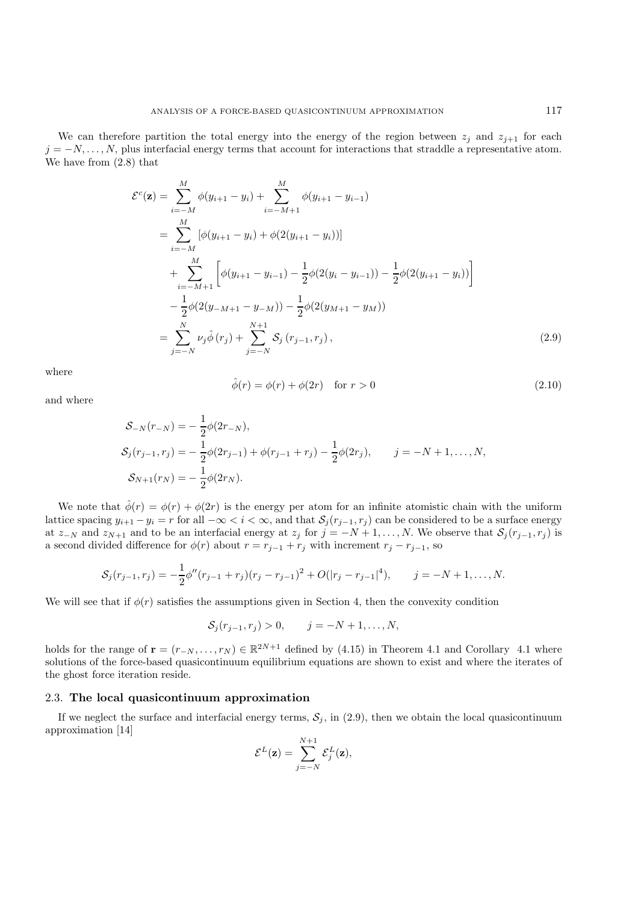We can therefore partition the total energy into the energy of the region between  $z_i$  and  $z_{i+1}$  for each  $j = -N, \ldots, N$ , plus interfacial energy terms that account for interactions that straddle a representative atom. We have from (2.8) that

$$
\mathcal{E}^{c}(\mathbf{z}) = \sum_{i=-M}^{M} \phi(y_{i+1} - y_i) + \sum_{i=-M+1}^{M} \phi(y_{i+1} - y_{i-1})
$$
  
\n
$$
= \sum_{i=-M}^{M} [\phi(y_{i+1} - y_i) + \phi(2(y_{i+1} - y_i))]
$$
  
\n
$$
+ \sum_{i=-M+1}^{M} [\phi(y_{i+1} - y_{i-1}) - \frac{1}{2}\phi(2(y_i - y_{i-1})) - \frac{1}{2}\phi(2(y_{i+1} - y_i))]
$$
  
\n
$$
- \frac{1}{2}\phi(2(y_{-M+1} - y_{-M})) - \frac{1}{2}\phi(2(y_{M+1} - y_M))
$$
  
\n
$$
= \sum_{j=-N}^{N} \nu_j \hat{\phi}(r_j) + \sum_{j=-N}^{N+1} \mathcal{S}_j(r_{j-1}, r_j),
$$
 (2.9)

where

$$
\hat{\phi}(r) = \phi(r) + \phi(2r) \quad \text{for } r > 0 \tag{2.10}
$$

and where

$$
S_{-N}(r_{-N}) = -\frac{1}{2}\phi(2r_{-N}),
$$
  
\n
$$
S_j(r_{j-1}, r_j) = -\frac{1}{2}\phi(2r_{j-1}) + \phi(r_{j-1} + r_j) - \frac{1}{2}\phi(2r_j), \qquad j = -N + 1, ..., N,
$$
  
\n
$$
S_{N+1}(r_N) = -\frac{1}{2}\phi(2r_N).
$$

We note that  $\hat{\phi}(r) = \phi(r) + \phi(2r)$  is the energy per atom for an infinite atomistic chain with the uniform lattice spacing  $y_{i+1} - y_i = r$  for all  $-\infty < i < \infty$ , and that  $S_j(r_{j-1}, r_j)$  can be considered to be a surface energy at  $z_{-N}$  and  $z_{N+1}$  and to be an interfacial energy at  $z_j$  for  $j = -N+1,\ldots,N$ . We observe that  $\mathcal{S}_j(r_{j-1}, r_j)$  is a second divided difference for  $\phi(r)$  about  $r = r_{j-1} + r_j$  with increment  $r_j - r_{j-1}$ , so

$$
S_j(r_{j-1},r_j)=-\frac{1}{2}\phi''(r_{j-1}+r_j)(r_j-r_{j-1})^2+O(|r_j-r_{j-1}|^4), \qquad j=-N+1,\ldots,N.
$$

We will see that if  $\phi(r)$  satisfies the assumptions given in Section 4, then the convexity condition

 $S_j(r_{j-1}, r_j) > 0, \qquad j = -N + 1, \ldots, N,$ 

holds for the range of  $\mathbf{r} = (r_{-N},...,r_N) \in \mathbb{R}^{2N+1}$  defined by (4.15) in Theorem 4.1 and Corollary 4.1 where solutions of the force-based quasicontinuum equilibrium equations are shown to exist and where the iterates of the ghost force iteration reside.

# 2.3. **The local quasicontinuum approximation**

If we neglect the surface and interfacial energy terms,  $S_j$ , in (2.9), then we obtain the local quasicontinuum approximation [14]

$$
\mathcal{E}^{L}(\mathbf{z}) = \sum_{j=-N}^{N+1} \mathcal{E}_{j}^{L}(\mathbf{z}),
$$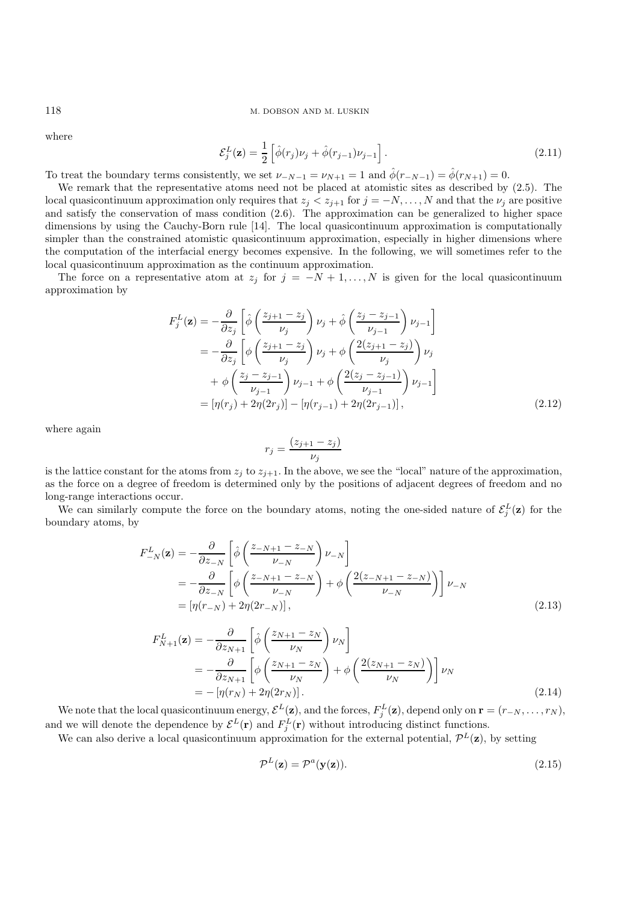where

$$
\mathcal{E}_j^L(\mathbf{z}) = \frac{1}{2} \left[ \hat{\phi}(r_j) \nu_j + \hat{\phi}(r_{j-1}) \nu_{j-1} \right]. \tag{2.11}
$$

To treat the boundary terms consistently, we set  $\nu_{-N-1} = \nu_{N+1} = 1$  and  $\hat{\phi}(r_{-N-1}) = \hat{\phi}(r_{N+1}) = 0$ .

We remark that the representative atoms need not be placed at atomistic sites as described by (2.5). The local quasicontinuum approximation only requires that  $z_i < z_{i+1}$  for  $j = -N, \ldots, N$  and that the  $\nu_i$  are positive and satisfy the conservation of mass condition (2.6). The approximation can be generalized to higher space dimensions by using the Cauchy-Born rule [14]. The local quasicontinuum approximation is computationally simpler than the constrained atomistic quasicontinuum approximation, especially in higher dimensions where the computation of the interfacial energy becomes expensive. In the following, we will sometimes refer to the local quasicontinuum approximation as the continuum approximation.

The force on a representative atom at  $z_j$  for  $j = -N + 1, \ldots, N$  is given for the local quasicontinuum approximation by

$$
F_j^L(\mathbf{z}) = -\frac{\partial}{\partial z_j} \left[ \hat{\phi} \left( \frac{z_{j+1} - z_j}{\nu_j} \right) \nu_j + \hat{\phi} \left( \frac{z_j - z_{j-1}}{\nu_{j-1}} \right) \nu_{j-1} \right]
$$
  
\n
$$
= -\frac{\partial}{\partial z_j} \left[ \phi \left( \frac{z_{j+1} - z_j}{\nu_j} \right) \nu_j + \phi \left( \frac{2(z_{j+1} - z_j)}{\nu_j} \right) \nu_j + \phi \left( \frac{z_j - z_{j-1}}{\nu_j} \right) \nu_{j-1} + \phi \left( \frac{z_j - z_{j-1}}{\nu_{j-1}} \right) \nu_{j-1} \right]
$$
  
\n
$$
= [\eta(r_j) + 2\eta(2r_j)] - [\eta(r_{j-1}) + 2\eta(2r_{j-1})], \qquad (2.12)
$$

where again

$$
r_j = \frac{(z_{j+1} - z_j)}{\nu_j}
$$

is the lattice constant for the atoms from  $z_j$  to  $z_{j+1}$ . In the above, we see the "local" nature of the approximation, as the force on a degree of freedom is determined only by the positions of adjacent degrees of freedom and no long-range interactions occur.

We can similarly compute the force on the boundary atoms, noting the one-sided nature of  $\mathcal{E}^L_j(\mathbf{z})$  for the boundary atoms, by

$$
F_{-N}^{L}(\mathbf{z}) = -\frac{\partial}{\partial z_{-N}} \left[ \hat{\phi} \left( \frac{z_{-N+1} - z_{-N}}{\nu_{-N}} \right) \nu_{-N} \right]
$$
  
=  $-\frac{\partial}{\partial z_{-N}} \left[ \phi \left( \frac{z_{-N+1} - z_{-N}}{\nu_{-N}} \right) + \phi \left( \frac{2(z_{-N+1} - z_{-N})}{\nu_{-N}} \right) \right] \nu_{-N}$   
=  $[\eta(r_{-N}) + 2\eta(2r_{-N})],$  (2.13)

$$
F_{N+1}^{L}(\mathbf{z}) = -\frac{\partial}{\partial z_{N+1}} \left[ \hat{\phi} \left( \frac{z_{N+1} - z_N}{\nu_N} \right) \nu_N \right]
$$
  
=  $-\frac{\partial}{\partial z_{N+1}} \left[ \phi \left( \frac{z_{N+1} - z_N}{\nu_N} \right) + \phi \left( \frac{2(z_{N+1} - z_N)}{\nu_N} \right) \right] \nu_N$   
=  $-\left[ \eta(r_N) + 2\eta(2r_N) \right].$  (2.14)

We note that the local quasicontinuum energy,  $\mathcal{E}^{L}(\mathbf{z})$ , and the forces,  $F_j^L(\mathbf{z})$ , depend only on  $\mathbf{r} = (r_{-N}, \ldots, r_N)$ , and we will denote the dependence by  $\mathcal{E}^{L}(\mathbf{r})$  and  $F_j^L(\mathbf{r})$  without introducing distinct functions.

We can also derive a local quasicontinuum approximation for the external potential,  $\mathcal{P}^L(\mathbf{z})$ , by setting

$$
\mathcal{P}^L(\mathbf{z}) = \mathcal{P}^a(\mathbf{y}(\mathbf{z})).\tag{2.15}
$$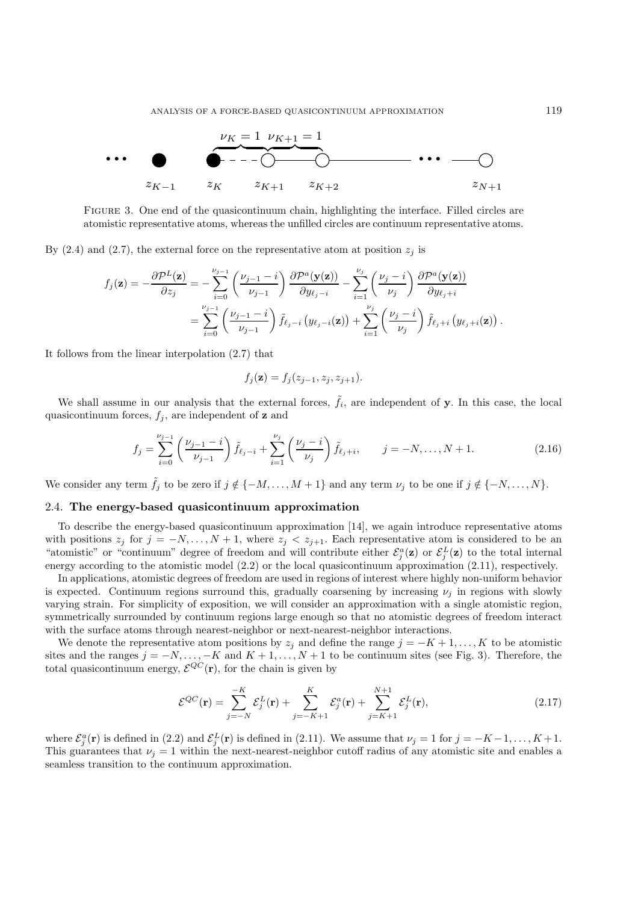

Figure 3. One end of the quasicontinuum chain, highlighting the interface. Filled circles are atomistic representative atoms, whereas the unfilled circles are continuum representative atoms.

By (2.4) and (2.7), the external force on the representative atom at position  $z_j$  is

$$
f_j(\mathbf{z}) = -\frac{\partial \mathcal{P}^L(\mathbf{z})}{\partial z_j} = -\sum_{i=0}^{\nu_{j-1}} \left( \frac{\nu_{j-1} - i}{\nu_{j-1}} \right) \frac{\partial \mathcal{P}^a(\mathbf{y}(\mathbf{z}))}{\partial y_{\ell_j - i}} - \sum_{i=1}^{\nu_j} \left( \frac{\nu_j - i}{\nu_j} \right) \frac{\partial \mathcal{P}^a(\mathbf{y}(\mathbf{z}))}{\partial y_{\ell_j + i}} = \sum_{i=0}^{\nu_{j-1}} \left( \frac{\nu_{j-1} - i}{\nu_{j-1}} \right) \tilde{f}_{\ell_j - i} \left( y_{\ell_j - i}(\mathbf{z}) \right) + \sum_{i=1}^{\nu_j} \left( \frac{\nu_j - i}{\nu_j} \right) \tilde{f}_{\ell_j + i} \left( y_{\ell_j + i}(\mathbf{z}) \right).
$$

It follows from the linear interpolation (2.7) that

$$
f_j(\mathbf{z}) = f_j(z_{j-1}, z_j, z_{j+1}).
$$

We shall assume in our analysis that the external forces,  $\tilde{f}_i$ , are independent of **y**. In this case, the local quasicontinuum forces,  $f_j$ , are independent of **z** and

$$
f_j = \sum_{i=0}^{\nu_{j-1}} \left( \frac{\nu_{j-1} - i}{\nu_{j-1}} \right) \tilde{f}_{\ell_j - i} + \sum_{i=1}^{\nu_j} \left( \frac{\nu_j - i}{\nu_j} \right) \tilde{f}_{\ell_j + i}, \qquad j = -N, \dots, N+1.
$$
 (2.16)

We consider any term  $\tilde{f}_j$  to be zero if  $j \notin \{-M,\ldots,M+1\}$  and any term  $\nu_j$  to be one if  $j \notin \{-N,\ldots,N\}$ .

### 2.4. **The energy-based quasicontinuum approximation**

To describe the energy-based quasicontinuum approximation [14], we again introduce representative atoms with positions  $z_j$  for  $j = -N, \ldots, N+1$ , where  $z_j < z_{j+1}$ . Each representative atom is considered to be an "atomistic" or "continuum" degree of freedom and will contribute either  $\mathcal{E}^a_j(\mathbf{z})$  or  $\mathcal{E}^L_j(\mathbf{z})$  to the total internal energy according to the atomistic model (2.2) or the local quasicontinuum approximation (2.11), respectively.

In applications, atomistic degrees of freedom are used in regions of interest where highly non-uniform behavior is expected. Continuum regions surround this, gradually coarsening by increasing  $\nu_i$  in regions with slowly varying strain. For simplicity of exposition, we will consider an approximation with a single atomistic region, symmetrically surrounded by continuum regions large enough so that no atomistic degrees of freedom interact with the surface atoms through nearest-neighbor or next-nearest-neighbor interactions.

We denote the representative atom positions by  $z_j$  and define the range  $j = -K + 1, \ldots, K$  to be atomistic sites and the ranges  $j = -N, \ldots, -K$  and  $K + 1, \ldots, N + 1$  to be continuum sites (see Fig. 3). Therefore, the total quasicontinuum energy,  $\mathcal{E}^{QC}(\mathbf{r})$ , for the chain is given by

$$
\mathcal{E}^{QC}(\mathbf{r}) = \sum_{j=-N}^{-K} \mathcal{E}_j^L(\mathbf{r}) + \sum_{j=-K+1}^{K} \mathcal{E}_j^a(\mathbf{r}) + \sum_{j=K+1}^{N+1} \mathcal{E}_j^L(\mathbf{r}),
$$
\n(2.17)

where  $\mathcal{E}_{j}^{a}(\mathbf{r})$  is defined in (2.2) and  $\mathcal{E}_{j}^{L}(\mathbf{r})$  is defined in (2.11). We assume that  $\nu_{j} = 1$  for  $j = -K-1, \ldots, K+1$ . This guarantees that  $\nu_j = 1$  within the next-nearest-neighbor cutoff radius of any atomistic site and enables a seamless transition to the continuum approximation.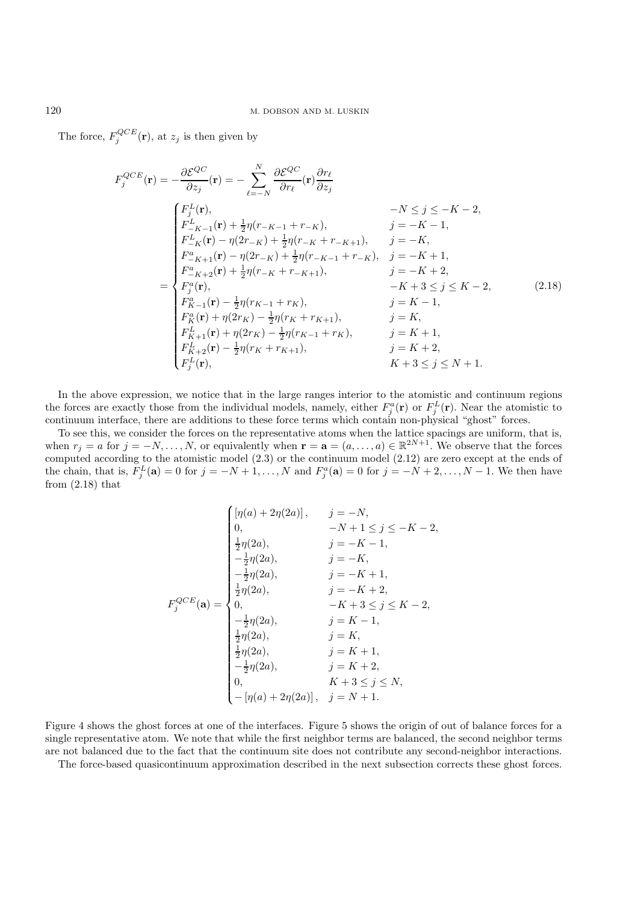The force,  $F_j^{QCE}(\mathbf{r})$ , at  $z_j$  is then given by

$$
F_j^{QCE}(\mathbf{r}) = -\frac{\partial \mathcal{E}^{QC}}{\partial z_j}(\mathbf{r}) = -\sum_{\ell=-N}^{N} \frac{\partial \mathcal{E}^{QC}}{\partial r_{\ell}}(\mathbf{r}) \frac{\partial r_{\ell}}{\partial z_j}
$$
  
\n
$$
-N \leq j \leq -K - 2,
$$
  
\n
$$
F_{-K-1}^{L}(\mathbf{r}) + \frac{1}{2}\eta(r_{-K-1} + r_{-K}), \qquad j = -K - 1,
$$
  
\n
$$
F_{-K}^{L}(\mathbf{r}) - \eta(2r_{-K}) + \frac{1}{2}\eta(r_{-K} + r_{-K+1}), \qquad j = -K,
$$
  
\n
$$
F_{-K+1}^{a}(\mathbf{r}) - \eta(2r_{-K}) + \frac{1}{2}\eta(r_{-K-1} + r_{-K}), \qquad j = -K + 1,
$$
  
\n
$$
F_{-K+2}^{a}(\mathbf{r}) + \frac{1}{2}\eta(r_{-K} + r_{-K+1}), \qquad j = -K + 2,
$$
  
\n
$$
F_{j}^{a}(\mathbf{r}), \qquad -K + 3 \leq j \leq K - 2,
$$
  
\n
$$
F_{K-1}^{a}(\mathbf{r}) - \frac{1}{2}\eta(r_{K-1} + r_{K}), \qquad j = K,
$$
  
\n
$$
F_{K+1}^{L}(\mathbf{r}) + \eta(2r_{K}) - \frac{1}{2}\eta(r_{K} + r_{K+1}), \qquad j = K,
$$
  
\n
$$
F_{K+2}^{L}(\mathbf{r}) - \frac{1}{2}\eta(r_{K} + r_{K+1}), \qquad j = K + 1,
$$
  
\n
$$
F_{K+2}^{L}(\mathbf{r}) - \frac{1}{2}\eta(r_{K} + r_{K+1}), \qquad j = K + 2,
$$
  
\n
$$
F_{j}^{L}(\mathbf{r}), \qquad K + 3 \leq j \leq N + 1.
$$
  
\n(2.18)

In the above expression, we notice that in the large ranges interior to the atomistic and continuum regions the forces are exactly those from the individual models, namely, either  $F_j^a(\mathbf{r})$  or  $F_j^L(\mathbf{r})$ . Near the atomistic to continuum interface, there are additions to these force terms which contain non-physical "ghost" forces.

To see this, we consider the forces on the representative atoms when the lattice spacings are uniform, that is, when  $r_j = a$  for  $j = -N, \ldots, N$ , or equivalently when  $\mathbf{r} = \mathbf{a} = (a, \ldots, a) \in \mathbb{R}^{2N+1}$ . We observe that the forces computed according to the atomistic model (2.3) or the continuum model (2.12) are zero except at the ends of the chain, that is,  $F_j^L(\mathbf{a}) = 0$  for  $j = -N + 1, \ldots, N$  and  $F_j^a(\mathbf{a}) = 0$  for  $j = -N + 2, \ldots, N - 1$ . We then have from  $(2.18)$  that

$$
F_j^{QCE}(\mathbf{a}) = \begin{cases} [\eta(a) + 2\eta(2a)], & j = -N, \\ 0, & -N + 1 \le j \le -K - 2, \\ \frac{1}{2}\eta(2a), & j = -K, \\ -\frac{1}{2}\eta(2a), & j = -K, \\ -\frac{1}{2}\eta(2a), & j = -K + 1, \\ \frac{1}{2}\eta(2a), & j = -K + 2, \\ 0, & -K + 3 \le j \le K - 2, \\ -\frac{1}{2}\eta(2a), & j = K, \\ \frac{1}{2}\eta(2a), & j = K, \\ \frac{1}{2}\eta(2a), & j = K + 1, \\ -\frac{1}{2}\eta(2a), & j = K + 2, \\ 0, & K + 3 \le j \le N, \\ -[\eta(a) + 2\eta(2a)], & j = N + 1. \end{cases}
$$

Figure 4 shows the ghost forces at one of the interfaces. Figure 5 shows the origin of out of balance forces for a single representative atom. We note that while the first neighbor terms are balanced, the second neighbor terms are not balanced due to the fact that the continuum site does not contribute any second-neighbor interactions.

The force-based quasicontinuum approximation described in the next subsection corrects these ghost forces.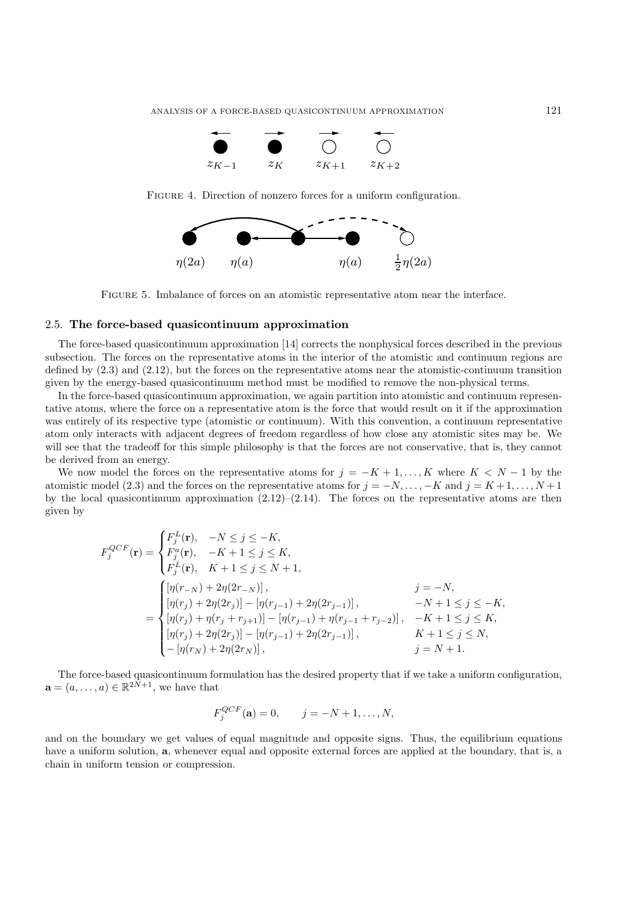

FIGURE 4. Direction of nonzero forces for a uniform configuration.



Figure 5. Imbalance of forces on an atomistic representative atom near the interface.

# 2.5. **The force-based quasicontinuum approximation**

The force-based quasicontinuum approximation [14] corrects the nonphysical forces described in the previous subsection. The forces on the representative atoms in the interior of the atomistic and continuum regions are defined by (2.3) and (2.12), but the forces on the representative atoms near the atomistic-continuum transition given by the energy-based quasicontinuum method must be modified to remove the non-physical terms.

In the force-based quasicontinuum approximation, we again partition into atomistic and continuum representative atoms, where the force on a representative atom is the force that would result on it if the approximation was entirely of its respective type (atomistic or continuum). With this convention, a continuum representative atom only interacts with adjacent degrees of freedom regardless of how close any atomistic sites may be. We will see that the tradeoff for this simple philosophy is that the forces are not conservative, that is, they cannot be derived from an energy.

We now model the forces on the representative atoms for  $j = -K + 1, \ldots, K$  where  $K < N - 1$  by the atomistic model (2.3) and the forces on the representative atoms for  $j = -N, \ldots, -K$  and  $j = K + 1, \ldots, N + 1$ by the local quasicontinuum approximation  $(2.12)$ – $(2.14)$ . The forces on the representative atoms are then given by

$$
F_j^{QCF}(\mathbf{r}) = \begin{cases} F_j^L(\mathbf{r}), & -N \le j \le -K, \\ F_j^a(\mathbf{r}), & -K+1 \le j \le K, \\ F_j^L(\mathbf{r}), & K+1 \le j \le N+1, \end{cases}
$$
  

$$
= \begin{cases} [\eta(r_{-N}) + 2\eta(2r_{-N})], & j = -N, \\ [\eta(r_j) + 2\eta(2r_j)] - [\eta(r_{j-1}) + 2\eta(2r_{j-1})], & -N+1 \le j \le -K, \\ [\eta(r_j) + \eta(r_j + r_{j+1})] - [\eta(r_{j-1}) + \eta(r_{j-1} + r_{j-2})], & -K+1 \le j \le K, \\ [\eta(r_j) + 2\eta(2r_j)] - [\eta(r_{j-1}) + 2\eta(2r_{j-1})], & K+1 \le j \le N, \\ -[\eta(r_N) + 2\eta(2r_N)], & j = N+1. \end{cases}
$$

The force-based quasicontinuum formulation has the desired property that if we take a uniform configuration,  $\mathbf{a} = (a, \dots, a) \in \mathbb{R}^{2N+1}$ , we have that

$$
F_j^{QCF}(\mathbf{a}) = 0, \quad j = -N + 1, ..., N,
$$

and on the boundary we get values of equal magnitude and opposite signs. Thus, the equilibrium equations have a uniform solution, **a**, whenever equal and opposite external forces are applied at the boundary, that is, a chain in uniform tension or compression.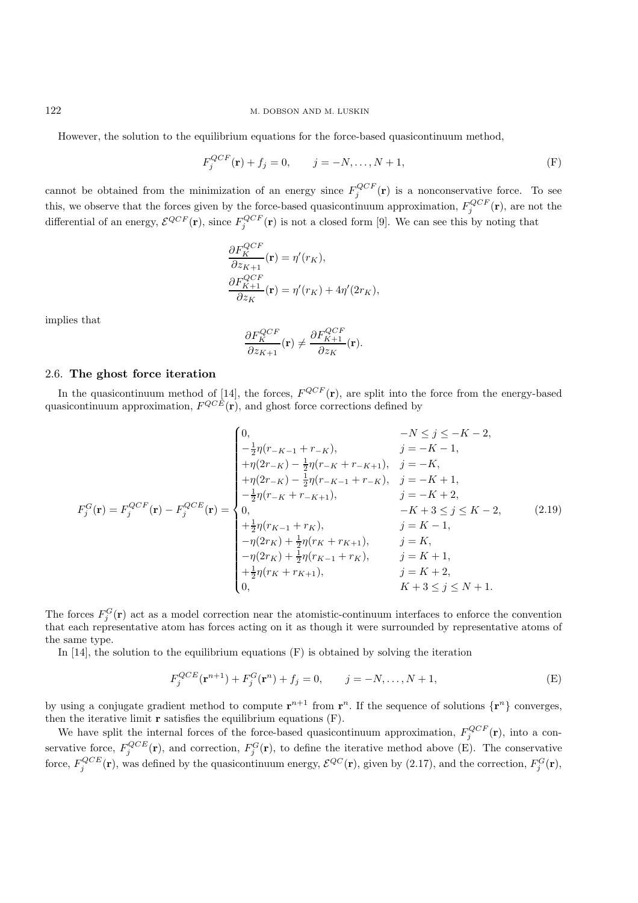However, the solution to the equilibrium equations for the force-based quasicontinuum method,

$$
F_j^{QCF}(\mathbf{r}) + f_j = 0, \qquad j = -N, \dots, N+1,
$$
 (F)

cannot be obtained from the minimization of an energy since  $F_j^{QCF}(\mathbf{r})$  is a nonconservative force. To see this, we observe that the forces given by the force-based quasicontinuum approximation,  $F_j^{QCF}(\mathbf{r})$ , are not the differential of an energy,  $\mathcal{E}^{QCF}(\mathbf{r})$ , since  $F_j^{QCF}(\mathbf{r})$  is not a closed form [9]. We can see this by noting that

$$
\frac{\partial F_K^{QCF}}{\partial z_{K+1}}(\mathbf{r}) = \eta'(r_K),
$$
  

$$
\frac{\partial F_{K+1}^{QCF}}{\partial z_K}(\mathbf{r}) = \eta'(r_K) + 4\eta'(2r_K),
$$

implies that

$$
\frac{\partial F_K^{QCF}}{\partial z_{K+1}}(\mathbf{r}) \neq \frac{\partial F_{K+1}^{QCF}}{\partial z_K}(\mathbf{r}).
$$

# 2.6. **The ghost force iteration**

In the quasicontinuum method of [14], the forces,  $F^{QCF}(\mathbf{r})$ , are split into the force from the energy-based quasicontinuum approximation,  $F^{QCE}(\mathbf{r})$ , and ghost force corrections defined by

$$
F_j^G(\mathbf{r}) = F_j^{QCF}(\mathbf{r}) - F_j^{QCE}(\mathbf{r}) = \begin{cases} 0, & -N \le j \le -K-2, \\ -\frac{1}{2}\eta(r_{-K-1} + r_{-K}), & j = -K-1, \\ +\eta(2r_{-K}) - \frac{1}{2}\eta(r_{-K} + r_{-K+1}), & j = -K, \\ +\eta(2r_{-K}) - \frac{1}{2}\eta(r_{-K-1} + r_{-K}), & j = -K+1, \\ -\frac{1}{2}\eta(r_{-K} + r_{-K+1}), & j = -K+2, \\ 0, & -K+3 \le j \le K-2, \\ +\frac{1}{2}\eta(r_{K-1} + r_K), & j = K, \\ -\eta(2r_K) + \frac{1}{2}\eta(r_K + r_{K+1}), & j = K, \\ -\eta(2r_K) + \frac{1}{2}\eta(r_{K-1} + r_K), & j = K+1, \\ +\frac{1}{2}\eta(r_K + r_{K+1}), & j = K+2, \\ 0, & K+3 \le j \le N+1. \end{cases}
$$
(2.19)

The forces  $F_j^G(\mathbf{r})$  act as a model correction near the atomistic-continuum interfaces to enforce the convention that each representative atom has forces acting on it as though it were surrounded by representative atoms of the same type.

In [14], the solution to the equilibrium equations  $(F)$  is obtained by solving the iteration

$$
F_j^{QCE}(\mathbf{r}^{n+1}) + F_j^G(\mathbf{r}^n) + f_j = 0, \qquad j = -N, \dots, N+1,
$$
 (E)

by using a conjugate gradient method to compute  $\mathbf{r}^{n+1}$  from  $\mathbf{r}^n$ . If the sequence of solutions  $\{\mathbf{r}^n\}$  converges, then the iterative limit **r** satisfies the equilibrium equations (F).

We have split the internal forces of the force-based quasicontinuum approximation,  $F_j^{QCF}(\mathbf{r})$ , into a conservative force,  $F_j^{QCE}(\mathbf{r})$ , and correction,  $F_j^G(\mathbf{r})$ , to define the iterative method above (E). The conservative force,  $F_j^{QCE}(\mathbf{r})$ , was defined by the quasicontinuum energy,  $\mathcal{E}^{QC}(\mathbf{r})$ , given by (2.17), and the correction,  $F_j^G(\mathbf{r})$ ,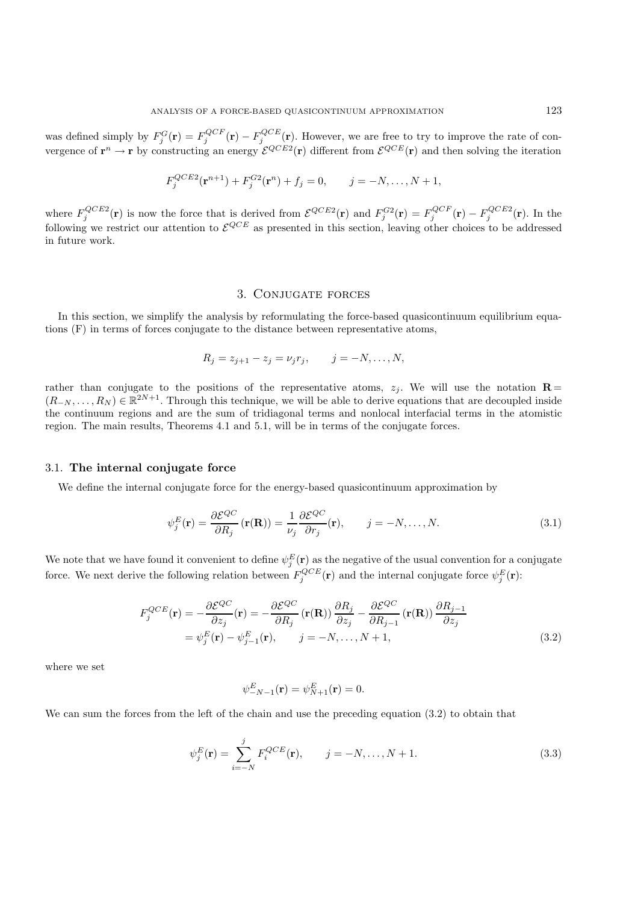was defined simply by  $F_j^G(\mathbf{r}) = F_j^{QCF}(\mathbf{r}) - F_j^{QCE}(\mathbf{r})$ . However, we are free to try to improve the rate of convergence of  $\mathbf{r}^n \to \mathbf{r}$  by constructing an energy  $\mathcal{E}^{QCE2}(\mathbf{r})$  different from  $\mathcal{E}^{QCE}(\mathbf{r})$  and then solving the iteration

$$
F_j^{QCE2}(\mathbf{r}^{n+1}) + F_j^{G2}(\mathbf{r}^n) + f_j = 0, \qquad j = -N, \dots, N+1,
$$

where  $F_j^{QCE2}(\mathbf{r})$  is now the force that is derived from  $\mathcal{E}^{QCE2}(\mathbf{r})$  and  $F_j^{G2}(\mathbf{r}) = F_j^{QCF}(\mathbf{r}) - F_j^{QCE2}(\mathbf{r})$ . In the following we restrict our attention to  $\mathcal{E}^{QCE}$  as presented in this section, leaving other choices to be addressed in future work.

# 3. Conjugate forces

In this section, we simplify the analysis by reformulating the force-based quasicontinuum equilibrium equations (F) in terms of forces conjugate to the distance between representative atoms,

$$
R_j = z_{j+1} - z_j = \nu_j r_j, \qquad j = -N, \ldots, N,
$$

rather than conjugate to the positions of the representative atoms,  $z_i$ . We will use the notation **R** =  $(R_{-N},\ldots,R_N) \in \mathbb{R}^{2N+1}$ . Through this technique, we will be able to derive equations that are decoupled inside the continuum regions and are the sum of tridiagonal terms and nonlocal interfacial terms in the atomistic region. The main results, Theorems 4.1 and 5.1, will be in terms of the conjugate forces.

#### 3.1. **The internal conjugate force**

We define the internal conjugate force for the energy-based quasicontinuum approximation by

$$
\psi_j^E(\mathbf{r}) = \frac{\partial \mathcal{E}^{QC}}{\partial R_j}(\mathbf{r}(\mathbf{R})) = \frac{1}{\nu_j} \frac{\partial \mathcal{E}^{QC}}{\partial r_j}(\mathbf{r}), \qquad j = -N, \dots, N. \tag{3.1}
$$

We note that we have found it convenient to define  $\psi_j^E(\mathbf{r})$  as the negative of the usual convention for a conjugate force. We next derive the following relation between  $F_j^{QCE}(\mathbf{r})$  and the internal conjugate force  $\psi_j^E(\mathbf{r})$ :

$$
F_j^{QCE}(\mathbf{r}) = -\frac{\partial \mathcal{E}^{QC}}{\partial z_j}(\mathbf{r}) = -\frac{\partial \mathcal{E}^{QC}}{\partial R_j}(\mathbf{r}(\mathbf{R})) \frac{\partial R_j}{\partial z_j} - \frac{\partial \mathcal{E}^{QC}}{\partial R_{j-1}}(\mathbf{r}(\mathbf{R})) \frac{\partial R_{j-1}}{\partial z_j}
$$
  
=  $\psi_j^E(\mathbf{r}) - \psi_{j-1}^E(\mathbf{r}), \qquad j = -N, ..., N+1,$  (3.2)

where we set

$$
\psi_{-N-1}^E(\mathbf{r}) = \psi_{N+1}^E(\mathbf{r}) = 0.
$$

We can sum the forces from the left of the chain and use the preceding equation  $(3.2)$  to obtain that

$$
\psi_j^E(\mathbf{r}) = \sum_{i=-N}^{j} F_i^{QCE}(\mathbf{r}), \qquad j = -N, \dots, N+1.
$$
 (3.3)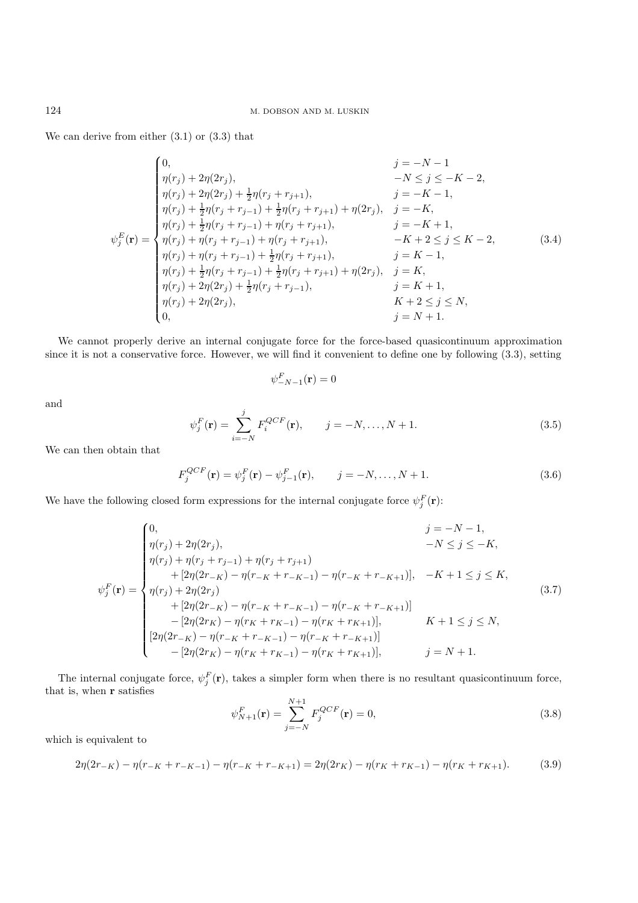We can derive from either (3.1) or (3.3) that

$$
\begin{cases}\n0, & j = -N - 1 \\
\eta(r_j) + 2\eta(2r_j), & -N \le j \le -K - 2, \\
\eta(r_j) + 2\eta(2r_j) + \frac{1}{2}\eta(r_j + r_{j+1}), & j = -K - 1, \\
\eta(r_j) + \frac{1}{2}\eta(r_j + r_{j-1}) + \frac{1}{2}\eta(r_j + r_{j+1}) + \eta(2r_j), & j = -K, \\
\eta(r_j) + \frac{1}{2}\eta(r_j + r_{j-1}) + \eta(r_j + r_{j+1}), & j = -K + 1, \\
\eta(r_j) + \eta(r_j + r_{j-1}) + \eta(r_j + r_{j+1}), & -K + 2 \le j \le K - 2, \\
\eta(r_j) + \eta(r_j + r_{j-1}) + \frac{1}{2}\eta(r_j + r_{j+1}), & j = K - 1, \\
\eta(r_j) + \frac{1}{2}\eta(r_j + r_{j-1}) + \frac{1}{2}\eta(r_j + r_{j+1}) + \eta(2r_j), & j = K, \\
\eta(r_j) + 2\eta(2r_j) + \frac{1}{2}\eta(r_j + r_{j-1}), & j = K + 1, \\
\eta(r_j) + 2\eta(2r_j), & K + 2 \le j \le N, \\
0, & j = N + 1.\n\end{cases}
$$
\n(3.4)

We cannot properly derive an internal conjugate force for the force-based quasicontinuum approximation since it is not a conservative force. However, we will find it convenient to define one by following (3.3), setting

$$
\psi^F_{-N-1}(\mathbf{r})=0
$$

and

$$
\psi_j^F(\mathbf{r}) = \sum_{i=-N}^{j} F_i^{QCF}(\mathbf{r}), \qquad j = -N, \dots, N+1.
$$
 (3.5)

We can then obtain that

$$
F_j^{QCF}(\mathbf{r}) = \psi_j^F(\mathbf{r}) - \psi_{j-1}^F(\mathbf{r}), \qquad j = -N, \dots, N+1.
$$
 (3.6)

We have the following closed form expressions for the internal conjugate force  $\psi_j^F(\mathbf{r})$ :

$$
\psi_j^F(\mathbf{r}) = \begin{cases}\n0, & j = -N - 1, \\
\eta(r_j) + 2\eta(2r_j), & -N \le j \le -K, \\
\eta(r_j) + \eta(r_j + r_{j-1}) + \eta(r_j + r_{j+1}) & \\
+ [2\eta(2r_{-K}) - \eta(r_{-K} + r_{-K-1}) - \eta(r_{-K} + r_{-K+1})], & -K + 1 \le j \le K, \\
\eta(r_j) + 2\eta(2r_j) & \\
+ [2\eta(2r_{-K}) - \eta(r_{-K} + r_{-K-1}) - \eta(r_{-K} + r_{-K+1})] & \\
- [2\eta(2r_{K}) - \eta(r_{K} + r_{K-1}) - \eta(r_{K} + r_{K+1})], & K + 1 \le j \le N, \\
[2\eta(2r_{-K}) - \eta(r_{-K} + r_{-K-1}) - \eta(r_{-K} + r_{-K+1})] & \\
- [2\eta(2r_{K}) - \eta(r_{K} + r_{K-1}) - \eta(r_{K} + r_{K+1})], & j = N + 1.\n\end{cases} (3.7)
$$

The internal conjugate force,  $\psi_j^F(\mathbf{r})$ , takes a simpler form when there is no resultant quasicontinuum force, that is, when **r** satisfies

$$
\psi_{N+1}^F(\mathbf{r}) = \sum_{j=-N}^{N+1} F_j^{QCF}(\mathbf{r}) = 0,
$$
\n(3.8)

which is equivalent to

$$
2\eta(2r_{-K}) - \eta(r_{-K} + r_{-K-1}) - \eta(r_{-K} + r_{-K+1}) = 2\eta(2r_K) - \eta(r_K + r_{K-1}) - \eta(r_K + r_{K+1}).
$$
\n(3.9)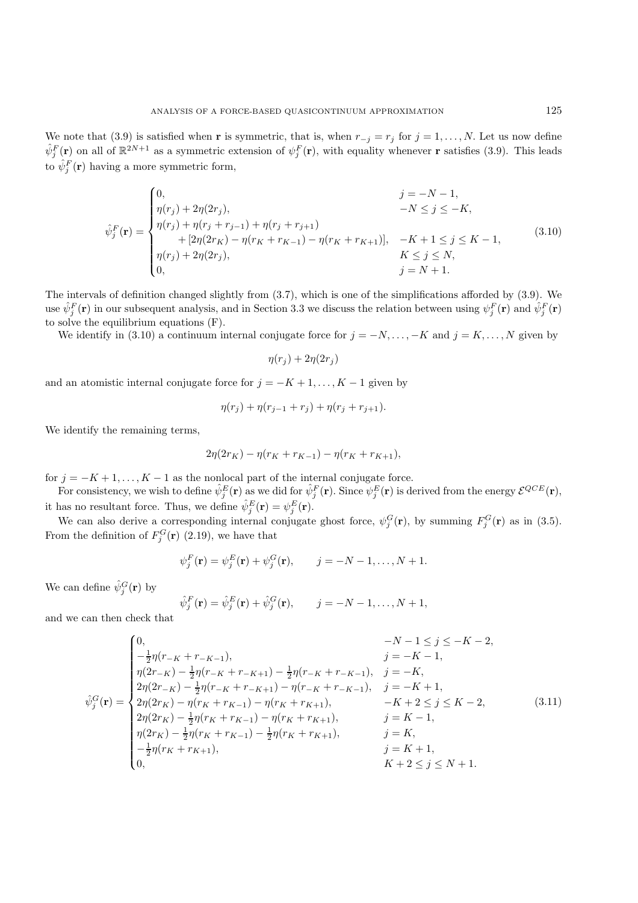We note that (3.9) is satisfied when **r** is symmetric, that is, when  $r_{-j} = r_j$  for  $j = 1, ..., N$ . Let us now define  $\hat{\psi}_j^F(\mathbf{r})$  on all of  $\mathbb{R}^{2N+1}$  as a symmetric extension of  $\psi_j^F(\mathbf{r})$ , with equality whenever **r** satisfies (3.9). This leads to  $\hat{\psi}_j^F(\mathbf{r})$  having a more symmetric form,

$$
\hat{\psi}_j^F(\mathbf{r}) = \begin{cases}\n0, & j = -N - 1, \\
\eta(r_j) + 2\eta(2r_j), & -N \le j \le -K, \\
\eta(r_j) + \eta(r_j + r_{j-1}) + \eta(r_j + r_{j+1}) & + [2\eta(2r_K) - \eta(r_K + r_{K-1}) - \eta(r_K + r_{K+1})], & -K + 1 \le j \le K - 1, \\
\eta(r_j) + 2\eta(2r_j), & K \le j \le N, \\
0, & j = N + 1.\n\end{cases}
$$
\n(3.10)

The intervals of definition changed slightly from (3.7), which is one of the simplifications afforded by (3.9). We use  $\hat{\psi}_j^F(\mathbf{r})$  in our subsequent analysis, and in Section 3.3 we discuss the relation between using  $\psi_j^F(\mathbf{r})$  and  $\hat{\psi}_j^F(\mathbf{r})$ to solve the equilibrium equations (F).

We identify in (3.10) a continuum internal conjugate force for  $j = -N, \ldots, -K$  and  $j = K, \ldots, N$  given by

$$
\eta(r_j) + 2\eta(2r_j)
$$

and an atomistic internal conjugate force for  $j = -K + 1, \ldots, K - 1$  given by

$$
\eta(r_j) + \eta(r_{j-1} + r_j) + \eta(r_j + r_{j+1}).
$$

We identify the remaining terms,

$$
2\eta(2r_K) - \eta(r_K + r_{K-1}) - \eta(r_K + r_{K+1}),
$$

for  $j = -K + 1, \ldots, K - 1$  as the nonlocal part of the internal conjugate force.

For consistency, we wish to define  $\hat{\psi}_j^E(\mathbf{r})$  as we did for  $\hat{\psi}_j^F(\mathbf{r})$ . Since  $\psi_j^E(\mathbf{r})$  is derived from the energy  $\mathcal{E}^{QCE}(\mathbf{r})$ , it has no resultant force. Thus, we define  $\hat{\psi}_j^E(\mathbf{r}) = \psi_j^E(\mathbf{r})$ .

We can also derive a corresponding internal conjugate ghost force,  $\psi_j^G(\mathbf{r})$ , by summing  $F_j^G(\mathbf{r})$  as in (3.5). From the definition of  $F_j^G(\mathbf{r})$  (2.19), we have that

$$
\psi_j^F(\mathbf{r}) = \psi_j^E(\mathbf{r}) + \psi_j^G(\mathbf{r}), \qquad j = -N-1, \dots, N+1.
$$

We can define  $\hat{\psi}_j^G(\mathbf{r})$  by

$$
\hat{\psi}_j^F(\mathbf{r}) = \hat{\psi}_j^E(\mathbf{r}) + \hat{\psi}_j^G(\mathbf{r}), \qquad j = -N-1, \dots, N+1,
$$

and we can then check that

$$
\hat{\psi}_{j}^{G}(\mathbf{r}) = \begin{cases}\n0, & -N-1 \leq j \leq -K-2, \\
-\frac{1}{2}\eta(r_{-K} + r_{-K-1}), & j = -K, \\
\eta(2r_{-K}) - \frac{1}{2}\eta(r_{-K} + r_{-K+1}) - \frac{1}{2}\eta(r_{-K} + r_{-K-1}), & j = -K, \\
2\eta(2r_{-K}) - \frac{1}{2}\eta(r_{-K} + r_{-K+1}) - \eta(r_{-K} + r_{-K-1}), & j = -K+1, \\
2\eta(2r_{K}) - \eta(r_{K} + r_{K-1}) - \eta(r_{K} + r_{K+1}), & -K+2 \leq j \leq K-2, \\
2\eta(2r_{K}) - \frac{1}{2}\eta(r_{K} + r_{K-1}) - \eta(r_{K} + r_{K+1}), & j = K-1, \\
\eta(2r_{K}) - \frac{1}{2}\eta(r_{K} + r_{K-1}) - \frac{1}{2}\eta(r_{K} + r_{K+1}), & j = K, \\
-\frac{1}{2}\eta(r_{K} + r_{K+1}), & j = K, \\
0, & K+2 \leq j \leq N+1.\n\end{cases}
$$
\n(3.11)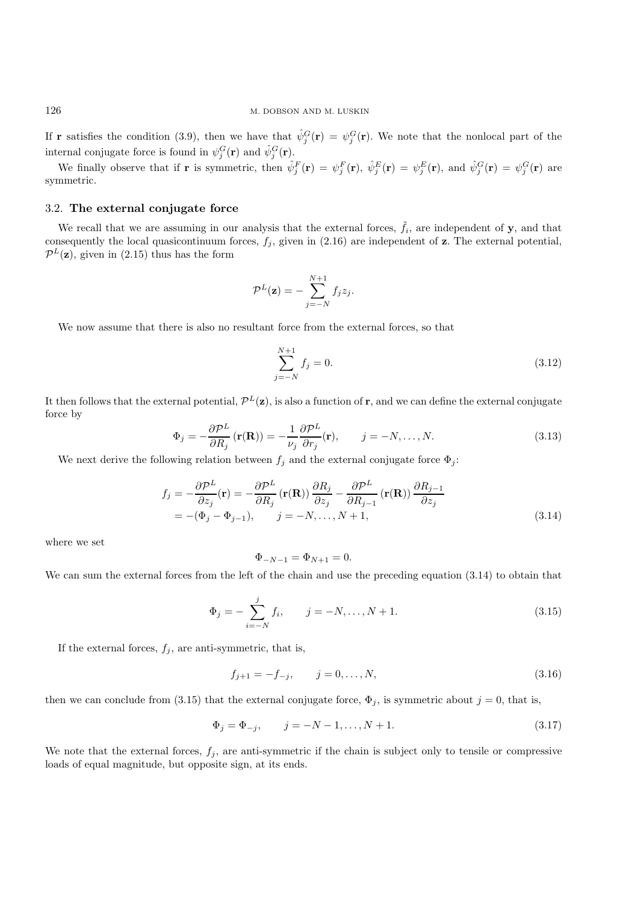If **r** satisfies the condition (3.9), then we have that  $\hat{\psi}_j^G(\mathbf{r}) = \psi_j^G(\mathbf{r})$ . We note that the nonlocal part of the internal conjugate force is found in  $\psi_j^G(\mathbf{r})$  and  $\hat{\psi}_j^G(\mathbf{r})$ .

We finally observe that if **r** is symmetric, then  $\hat{\psi}_j^F(\mathbf{r}) = \psi_j^F(\mathbf{r}), \ \hat{\psi}_j^E(\mathbf{r}) = \psi_j^E(\mathbf{r}), \text{ and } \hat{\psi}_j^G(\mathbf{r}) = \psi_j^G(\mathbf{r})$  are symmetric.

# 3.2. **The external conjugate force**

We recall that we are assuming in our analysis that the external forces,  $\tilde{f}_i$ , are independent of **y**, and that consequently the local quasicontinuum forces,  $f_j$ , given in  $(2.16)$  are independent of **z**. The external potential,  $\mathcal{P}^L(\mathbf{z})$ , given in (2.15) thus has the form

$$
\mathcal{P}^L(\mathbf{z}) = -\sum_{j=-N}^{N+1} f_j z_j.
$$

We now assume that there is also no resultant force from the external forces, so that

$$
\sum_{j=-N}^{N+1} f_j = 0.
$$
\n(3.12)

It then follows that the external potential,  $\mathcal{P}^L(\mathbf{z})$ , is also a function of **r**, and we can define the external conjugate force by

$$
\Phi_j = -\frac{\partial \mathcal{P}^L}{\partial R_j} \left( \mathbf{r}(\mathbf{R}) \right) = -\frac{1}{\nu_j} \frac{\partial \mathcal{P}^L}{\partial r_j} (\mathbf{r}), \qquad j = -N, \dots, N. \tag{3.13}
$$

We next derive the following relation between  $f_j$  and the external conjugate force  $\Phi_j$ :

$$
f_j = -\frac{\partial \mathcal{P}^L}{\partial z_j}(\mathbf{r}) = -\frac{\partial \mathcal{P}^L}{\partial R_j}(\mathbf{r}(\mathbf{R})) \frac{\partial R_j}{\partial z_j} - \frac{\partial \mathcal{P}^L}{\partial R_{j-1}}(\mathbf{r}(\mathbf{R})) \frac{\partial R_{j-1}}{\partial z_j}
$$
  
= -(\Phi\_j - \Phi\_{j-1}),  $j = -N, ..., N+1,$  (3.14)

where we set

$$
\Phi_{-N-1} = \Phi_{N+1} = 0.
$$

We can sum the external forces from the left of the chain and use the preceding equation (3.14) to obtain that

$$
\Phi_j = -\sum_{i=-N}^j f_i, \qquad j = -N, \dots, N+1. \tag{3.15}
$$

If the external forces,  $f_j$ , are anti-symmetric, that is,

$$
f_{j+1} = -f_{-j}, \qquad j = 0, \dots, N,
$$
\n(3.16)

then we can conclude from (3.15) that the external conjugate force,  $\Phi_j$ , is symmetric about  $j = 0$ , that is,

$$
\Phi_j = \Phi_{-j}, \qquad j = -N - 1, \dots, N + 1. \tag{3.17}
$$

We note that the external forces,  $f_j$ , are anti-symmetric if the chain is subject only to tensile or compressive loads of equal magnitude, but opposite sign, at its ends.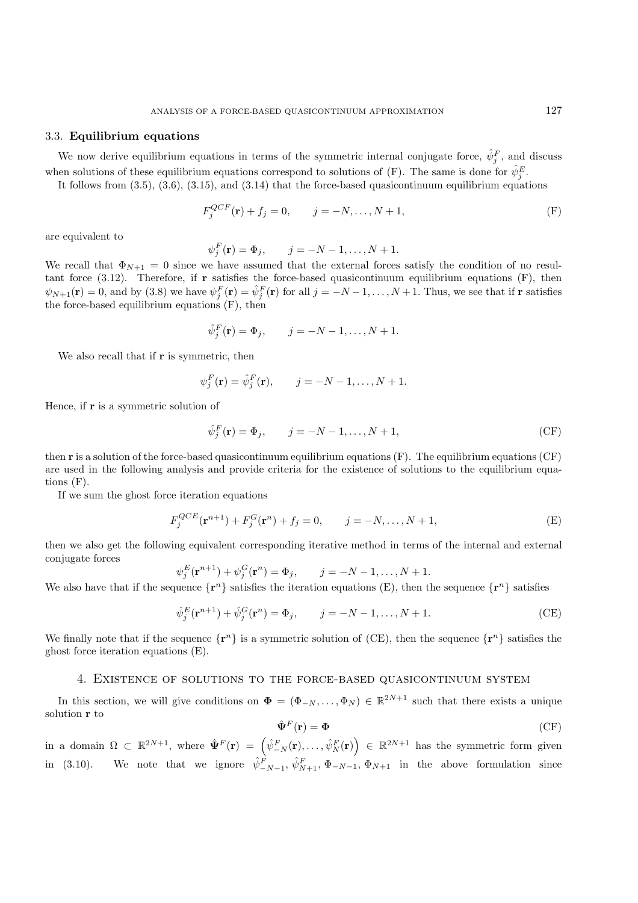# 3.3. **Equilibrium equations**

We now derive equilibrium equations in terms of the symmetric internal conjugate force,  $\hat{\psi}_j^F$ , and discuss when solutions of these equilibrium equations correspond to solutions of  $(F)$ . The same is done for  $\hat{\psi}_j^E$ .

It follows from  $(3.5)$ ,  $(3.6)$ ,  $(3.15)$ , and  $(3.14)$  that the force-based quasicontinuum equilibrium equations

$$
F_j^{QCF}(\mathbf{r}) + f_j = 0, \qquad j = -N, \dots, N+1,
$$
 (F)

are equivalent to

$$
\psi_j^F(\mathbf{r}) = \Phi_j, \qquad j = -N - 1, ..., N + 1.
$$

We recall that  $\Phi_{N+1} = 0$  since we have assumed that the external forces satisfy the condition of no resultant force (3.12). Therefore, if **r** satisfies the force-based quasicontinuum equilibrium equations (F), then  $\psi_{N+1}(\mathbf{r}) = 0$ , and by (3.8) we have  $\psi_j^F(\mathbf{r}) = \hat{\psi}_j^F(\mathbf{r})$  for all  $j = -N-1, \ldots, N+1$ . Thus, we see that if **r** satisfies the force-based equilibrium equations (F), then

$$
\hat{\psi}_j^F(\mathbf{r}) = \Phi_j, \qquad j = -N-1, \dots, N+1.
$$

We also recall that if **r** is symmetric, then

$$
\psi_j^F(\mathbf{r}) = \hat{\psi}_j^F(\mathbf{r}), \qquad j = -N-1, \dots, N+1.
$$

Hence, if **r** is a symmetric solution of

$$
\hat{\psi}_j^F(\mathbf{r}) = \Phi_j, \qquad j = -N - 1, \dots, N + 1,\tag{CF}
$$

then **r** is a solution of the force-based quasicontinuum equilibrium equations (F). The equilibrium equations (CF) are used in the following analysis and provide criteria for the existence of solutions to the equilibrium equations (F).

If we sum the ghost force iteration equations

$$
F_j^{QCE}(\mathbf{r}^{n+1}) + F_j^G(\mathbf{r}^n) + f_j = 0, \qquad j = -N, \dots, N+1,
$$
 (E)

then we also get the following equivalent corresponding iterative method in terms of the internal and external conjugate forces

$$
\psi_j^E(\mathbf{r}^{n+1}) + \psi_j^G(\mathbf{r}^n) = \Phi_j, \qquad j = -N-1, ..., N+1.
$$

We also have that if the sequence  $\{r^n\}$  satisfies the iteration equations  $(E)$ , then the sequence  $\{r^n\}$  satisfies

$$
\hat{\psi}_j^E(\mathbf{r}^{n+1}) + \hat{\psi}_j^G(\mathbf{r}^n) = \Phi_j, \qquad j = -N - 1, ..., N + 1.
$$
 (CE)

We finally note that if the sequence  $\{\mathbf{r}^n\}$  is a symmetric solution of (CE), then the sequence  $\{\mathbf{r}^n\}$  satisfies the ghost force iteration equations (E).

# 4. Existence of solutions to the force-based quasicontinuum system

In this section, we will give conditions on  $\Phi = (\Phi_{-N}, \ldots, \Phi_N) \in \mathbb{R}^{2N+1}$  such that there exists a unique solution **r** to

$$
\hat{\Psi}^F(\mathbf{r}) = \Phi \tag{CF}
$$

 $\text{in a domain }\Omega \subset \mathbb{R}^{2N+1}, \text{ where } \hat{\mathbf{\Psi}}^F(\mathbf{r}) = \left(\hat{\psi}^F_{-N}(\mathbf{r}),\ldots,\hat{\psi}^F_N(\mathbf{r})\right) \in \mathbb{R}^{2N+1} \text{ has the symmetric form given}$ in (3.10). We note that we ignore  $\hat{\psi}^F_{-N-1}, \hat{\psi}^F_{N+1}, \Phi_{-N-1}, \Phi_{N+1}$  in the above formulation since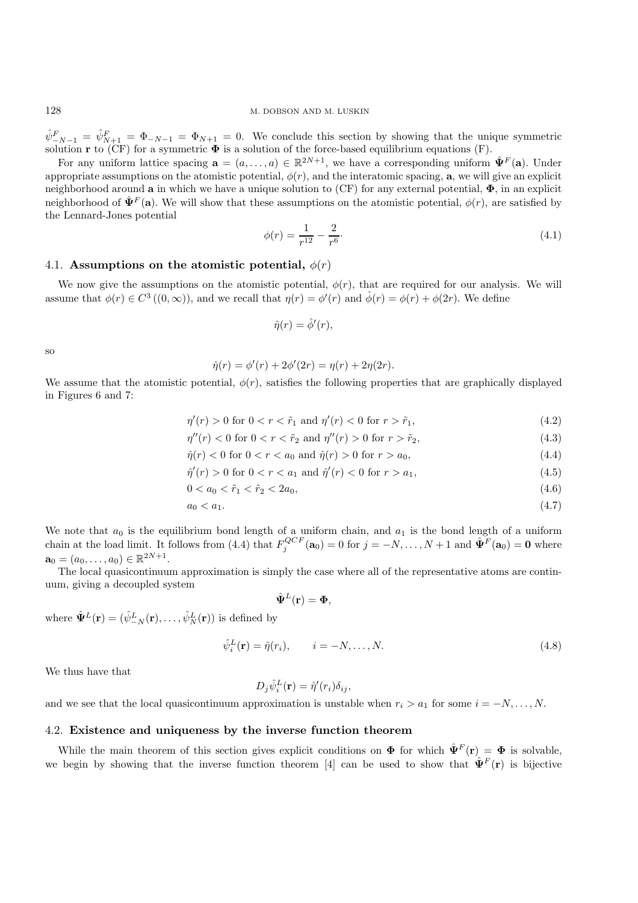$\hat{\psi}_{-N-1}^F = \hat{\psi}_{N+1}^F = \Phi_{-N-1} = \Phi_{N+1} = 0$ . We conclude this section by showing that the unique symmetric solution **r** to (CF) for a symmetric **Φ** is a solution of the force-based equilibrium equations (F).

For any uniform lattice spacing  $\mathbf{a} = (a, \ldots, a) \in \mathbb{R}^{2N+1}$ , we have a corresponding uniform  $\hat{\mathbf{\Psi}}^F(\mathbf{a})$ . Under appropriate assumptions on the atomistic potential,  $\phi(r)$ , and the interatomic spacing, **a**, we will give an explicit neighborhood around **a** in which we have a unique solution to (CF) for any external potential, **Φ**, in an explicit neighborhood of  $\hat{\Psi}^F(\mathbf{a})$ . We will show that these assumptions on the atomistic potential,  $\phi(r)$ , are satisfied by the Lennard-Jones potential

$$
\phi(r) = \frac{1}{r^{12}} - \frac{2}{r^6}.\tag{4.1}
$$

### 4.1. **Assumptions on the atomistic potential,**  $\phi(r)$

We now give the assumptions on the atomistic potential,  $\phi(r)$ , that are required for our analysis. We will assume that  $\phi(r) \in C^3((0,\infty))$ , and we recall that  $\eta(r) = \phi'(r)$  and  $\hat{\phi}(r) = \phi(r) + \phi(2r)$ . We define

$$
\hat{\eta}(r) = \hat{\phi}'(r),
$$

so

$$
\hat{\eta}(r) = \phi'(r) + 2\phi'(2r) = \eta(r) + 2\eta(2r).
$$

We assume that the atomistic potential,  $\phi(r)$ , satisfies the following properties that are graphically displayed in Figures 6 and 7:

$$
\eta'(r) > 0 \text{ for } 0 < r < \tilde{r}_1 \text{ and } \eta'(r) < 0 \text{ for } r > \tilde{r}_1,\tag{4.2}
$$

$$
\eta''(r) < 0 \text{ for } 0 < r < \tilde{r}_2 \text{ and } \eta''(r) > 0 \text{ for } r > \tilde{r}_2,\tag{4.3}
$$

$$
\hat{\eta}(r) < 0 \text{ for } 0 < r < a_0 \text{ and } \hat{\eta}(r) > 0 \text{ for } r > a_0,\tag{4.4}
$$

$$
\hat{\eta}'(r) > 0 \text{ for } 0 < r < a_1 \text{ and } \hat{\eta}'(r) < 0 \text{ for } r > a_1,\tag{4.5}
$$

$$
0 < a_0 < \tilde{r}_1 < \tilde{r}_2 < 2a_0,\tag{4.6}
$$

$$
a_0 < a_1. \tag{4.7}
$$

We note that  $a_0$  is the equilibrium bond length of a uniform chain, and  $a_1$  is the bond length of a uniform chain at the load limit. It follows from (4.4) that  $F_j^{QCF}(\mathbf{a}_0) = 0$  for  $j = -N, \ldots, N+1$  and  $\hat{\mathbf{\Psi}}^F(\mathbf{a}_0) = \mathbf{0}$  where  $\mathbf{a}_0 = (a_0, \dots, a_0) \in \mathbb{R}^{2N+1}.$ 

The local quasicontinuum approximation is simply the case where all of the representative atoms are continuum, giving a decoupled system

$$
\hat{\mathbf{\Psi}}^{L}(\mathbf{r})=\mathbf{\Phi},
$$

where  $\hat{\Psi}^{L}(\mathbf{r}) = (\hat{\psi}^{L}_{-N}(\mathbf{r}), \dots, \hat{\psi}^{L}_{N}(\mathbf{r}))$  is defined by

$$
\hat{\psi}_i^L(\mathbf{r}) = \hat{\eta}(r_i), \qquad i = -N, \dots, N. \tag{4.8}
$$

We thus have that

$$
D_j \hat{\psi}_i^L(\mathbf{r}) = \hat{\eta}'(r_i) \delta_{ij},
$$

and we see that the local quasicontinuum approximation is unstable when  $r_i > a_1$  for some  $i = -N, \ldots, N$ .

#### 4.2. **Existence and uniqueness by the inverse function theorem**

While the main theorem of this section gives explicit conditions on  $\Phi$  for which  $\hat{\Psi}^F(\mathbf{r}) = \Phi$  is solvable, we begin by showing that the inverse function theorem [4] can be used to show that  $\hat{\Psi}^F(\mathbf{r})$  is bijective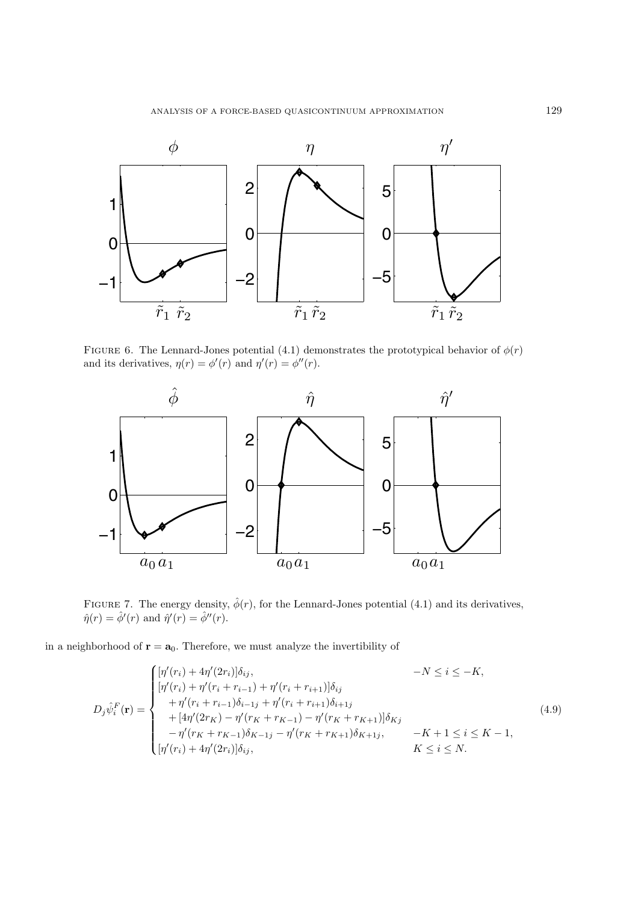

FIGURE 6. The Lennard-Jones potential (4.1) demonstrates the prototypical behavior of  $\phi(r)$ and its derivatives,  $\eta(r) = \phi'(r)$  and  $\eta'(r) = \phi''(r)$ .



FIGURE 7. The energy density,  $\hat{\phi}(r)$ , for the Lennard-Jones potential (4.1) and its derivatives,  $\hat{\eta}(r) = \hat{\phi}'(r)$  and  $\hat{\eta}'(r) = \hat{\phi}''(r)$ .

in a neighborhood of  $\mathbf{r} = \mathbf{a}_0$ . Therefore, we must analyze the invertibility of

$$
D_{j}\hat{\psi}_{i}^{F}(\mathbf{r}) = \begin{cases} [\eta'(r_{i}) + 4\eta'(2r_{i})]\delta_{ij}, & -N \leq i \leq -K, \\ [\eta'(r_{i}) + \eta'(r_{i} + r_{i-1}) + \eta'(r_{i} + r_{i+1})]\delta_{ij} \\ + \eta'(r_{i} + r_{i-1})\delta_{i-1j} + \eta'(r_{i} + r_{i+1})\delta_{i+1j} \\ + [4\eta'(2r_{K}) - \eta'(r_{K} + r_{K-1}) - \eta'(r_{K} + r_{K+1})]\delta_{Kj} \\ - \eta'(r_{K} + r_{K-1})\delta_{K-1j} - \eta'(r_{K} + r_{K+1})\delta_{K+1j}, & -K+1 \leq i \leq K-1, \\ [\eta'(r_{i}) + 4\eta'(2r_{i})]\delta_{ij}, & K \leq i \leq N. \end{cases}
$$
(4.9)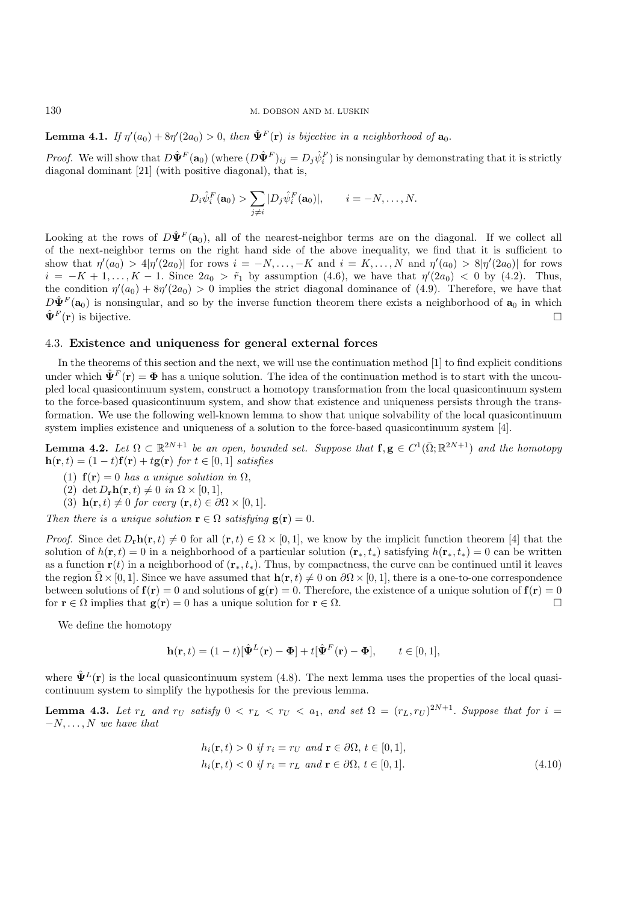**Lemma 4.1.** *If*  $\eta'(a_0) + 8\eta'(2a_0) > 0$ , *then*  $\hat{\Psi}^F(\mathbf{r})$  *is bijective in a neighborhood of*  $\mathbf{a}_0$ .

*Proof.* We will show that  $D\hat{\Psi}^F(\mathbf{a}_0)$  (where  $(D\hat{\Psi}^F)_{ij} = D_j\hat{\psi}^F_i$ ) is nonsingular by demonstrating that it is strictly diagonal dominant [21] (with positive diagonal), that is,

$$
D_i \hat{\psi}_i^F(\mathbf{a}_0) > \sum_{j \neq i} |D_j \hat{\psi}_i^F(\mathbf{a}_0)|, \qquad i = -N, \dots, N.
$$

Looking at the rows of  $D\hat{\Psi}^F(\mathbf{a}_0)$ , all of the nearest-neighbor terms are on the diagonal. If we collect all of the next-neighbor terms on the right hand side of the above inequality, we find that it is sufficient to show that  $\eta'(a_0) > 4|\eta'(2a_0)|$  for rows  $i = -N, \ldots, -K$  and  $i = K, \ldots, N$  and  $\eta'(a_0) > 8|\eta'(2a_0)|$  for rows  $i = -K + 1, \ldots, K - 1$ . Since  $2a_0 > \tilde{r}_1$  by assumption (4.6), we have that  $\eta'(2a_0) < 0$  by (4.2). Thus, the condition  $\eta'(a_0) + 8\eta'(2a_0) > 0$  implies the strict diagonal dominance of (4.9). Therefore, we have that  $D\hat{\Psi}^F(\mathbf{a}_0)$  is nonsingular, and so by the inverse function theorem there exists a neighborhood of  $\mathbf{a}_0$  in which  $\hat{\mathbf{\Psi}}^{F}(\mathbf{r})$  is bijective.

### 4.3. **Existence and uniqueness for general external forces**

In the theorems of this section and the next, we will use the continuation method [1] to find explicit conditions under which  $\mathbf{\hat{\Psi}}^{F}(\mathbf{r}) = \mathbf{\Phi}$  has a unique solution. The idea of the continuation method is to start with the uncoupled local quasicontinuum system, construct a homotopy transformation from the local quasicontinuum system to the force-based quasicontinuum system, and show that existence and uniqueness persists through the transformation. We use the following well-known lemma to show that unique solvability of the local quasicontinuum system implies existence and uniqueness of a solution to the force-based quasicontinuum system [4].

**Lemma 4.2.** *Let*  $\Omega \subset \mathbb{R}^{2N+1}$  *be an open, bounded set. Suppose that*  $f, g \in C^1(\overline{\Omega}; \mathbb{R}^{2N+1})$  *and the homotopy* **h**(**r**, *t*) = (1 − *t*)**f**(**r**) + *t***g**(**r**) *for t* ∈ [0, 1] *satisfies* 

- (1)  $f(r) = 0$  *has a unique solution in*  $\Omega$ ,
- (2) det  $D_r \mathbf{h}(\mathbf{r}, t) \neq 0$  *in*  $\Omega \times [0, 1]$ ,
- (3) **h**(**r**, *t*)  $\neq 0$  *for every* (**r**, *t*)  $\in \partial \Omega \times [0, 1].$

*Then there is a unique solution*  $\mathbf{r} \in \Omega$  *satisfying*  $g(\mathbf{r}) = 0$ .

*Proof.* Since det  $D_{\bf r}$ **h**( ${\bf r}, t$ )  $\neq 0$  for all ( ${\bf r}, t$ )  $\in \Omega \times [0, 1]$ , we know by the implicit function theorem [4] that the solution of  $h(\mathbf{r}, t) = 0$  in a neighborhood of a particular solution  $(\mathbf{r}_*, t_*)$  satisfying  $h(\mathbf{r}_*, t_*) = 0$  can be written as a function  $\mathbf{r}(t)$  in a neighborhood of  $(\mathbf{r}_*, t_*)$ . Thus, by compactness, the curve can be continued until it leaves the region  $\Omega \times [0, 1]$ . Since we have assumed that  $\mathbf{h}(\mathbf{r}, t) \neq 0$  on  $\partial \Omega \times [0, 1]$ , there is a one-to-one correspondence between solutions of  $f(r) = 0$  and solutions of  $g(r) = 0$ . Therefore, the existence of a unique solution of  $f(r) = 0$ for **r**  $\in \Omega$  implies that **g**(**r**) = 0 has a unique solution for **r**  $\in \Omega$ .

We define the homotopy

$$
\mathbf{h}(\mathbf{r},t) = (1-t)[\hat{\mathbf{\Psi}}^L(\mathbf{r}) - \mathbf{\Phi}] + t[\hat{\mathbf{\Psi}}^F(\mathbf{r}) - \mathbf{\Phi}], \qquad t \in [0,1],
$$

where  $\hat{\Psi}^{L}(\mathbf{r})$  is the local quasicontinuum system (4.8). The next lemma uses the properties of the local quasicontinuum system to simplify the hypothesis for the previous lemma.

**Lemma 4.3.** Let  $r_L$  and  $r_U$  satisfy  $0 < r_L < r_U < a_1$ , and set  $\Omega = (r_L, r_U)^{2N+1}$ . Suppose that for  $i =$ −N,...,N *we have that*

$$
h_i(\mathbf{r}, t) > 0 \text{ if } r_i = r_U \text{ and } \mathbf{r} \in \partial\Omega, t \in [0, 1],
$$
  

$$
h_i(\mathbf{r}, t) < 0 \text{ if } r_i = r_L \text{ and } \mathbf{r} \in \partial\Omega, t \in [0, 1].
$$
 (4.10)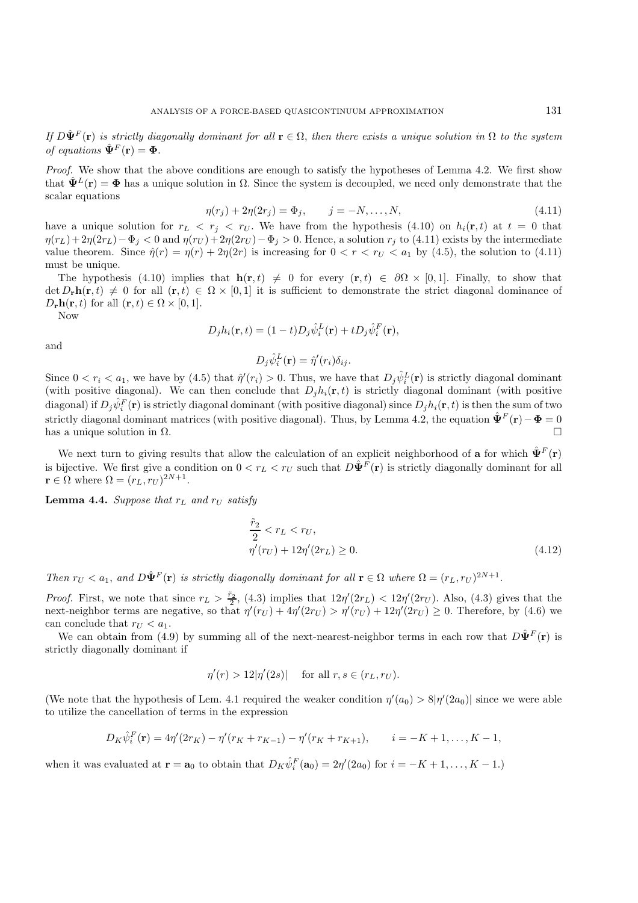*If*  $D\hat{\Psi}^F(\mathbf{r})$  *is strictly diagonally dominant for all*  $\mathbf{r} \in \Omega$ , *then there exists a unique solution in*  $\Omega$  *to the system of equations*  $\hat{\Psi}^F(\mathbf{r}) = \Phi$ .

*Proof.* We show that the above conditions are enough to satisfy the hypotheses of Lemma 4.2. We first show that  $\hat{\Psi}^L(\mathbf{r}) = \Phi$  has a unique solution in  $\Omega$ . Since the system is decoupled, we need only demonstrate that the scalar equations

$$
\eta(r_j) + 2\eta(2r_j) = \Phi_j, \qquad j = -N, \dots, N,
$$
\n(4.11)

have a unique solution for  $r_L < r_j < r_U$ . We have from the hypothesis (4.10) on  $h_i(\mathbf{r}, t)$  at  $t = 0$  that  $\eta(r_L)+2\eta(2r_L)-\Phi_i < 0$  and  $\eta(r_U)+2\eta(2r_U)-\Phi_i > 0$ . Hence, a solution  $r_i$  to (4.11) exists by the intermediate value theorem. Since  $\hat{\eta}(r) = \eta(r) + 2\eta(2r)$  is increasing for  $0 < r < r_U < a_1$  by (4.5), the solution to (4.11) must be unique.

The hypothesis (4.10) implies that  $h(r, t) \neq 0$  for every  $(r, t) \in \partial\Omega \times [0, 1]$ . Finally, to show that  $\det D_{\bf r} {\bf h}({\bf r}, t) \neq 0$  for all  $({\bf r}, t) \in \Omega \times [0, 1]$  it is sufficient to demonstrate the strict diagonal dominance of  $D_{\mathbf{r}}\mathbf{h}(\mathbf{r},t)$  for all  $(\mathbf{r},t) \in \Omega \times [0,1].$ 

Now

$$
D_j h_i(\mathbf{r},t) = (1-t) D_j \hat{\psi}_i^L(\mathbf{r}) + t D_j \hat{\psi}_i^F(\mathbf{r}),
$$

and

$$
D_j \hat{\psi}_i^L(\mathbf{r}) = \hat{\eta}'(r_i) \delta_{ij}.
$$

Since  $0 < r_i < a_1$ , we have by (4.5) that  $\hat{\eta}'(r_i) > 0$ . Thus, we have that  $D_j \hat{\psi}_i^L(\mathbf{r})$  is strictly diagonal dominant (with positive diagonal). We can then conclude that  $D_j h_i(\mathbf{r}, t)$  is strictly diagonal dominant (with positive  $\pi$ diagonal) if  $D_j \hat{\psi}_i^F(\mathbf{r})$  is strictly diagonal dominant (with positive diagonal) since  $D_j h_i(\mathbf{r},t)$  is then the sum of two strictly diagonal dominant matrices (with positive diagonal). Thus, by Lemma 4.2, the equation  $\hat{\Psi}^{F}(\mathbf{r}) - \Phi = 0$ has a unique solution in  $\Omega$ .

We next turn to giving results that allow the calculation of an explicit neighborhood of **a** for which  $\hat{\Psi}^F(\mathbf{r})$ is bijective. We first give a condition on  $0 < r_L < r_U$  such that  $D\hat{\Psi}^F(\mathbf{r})$  is strictly diagonally dominant for all  $\mathbf{r} \in \Omega$  where  $\Omega = (r_L, r_U)^{2N+1}$ .

**Lemma 4.4.** *Suppose that*  $r_L$  *and*  $r_U$  *satisfy* 

$$
\frac{\tilde{r}_2}{2} < r_L < r_U, \\
\eta'(r_U) + 12\eta'(2r_L) \ge 0. \tag{4.12}
$$

*Then*  $r_U < a_1$ , and  $D\hat{\Psi}^F(\mathbf{r})$  *is strictly diagonally dominant for all*  $\mathbf{r} \in \Omega$  *where*  $\Omega = (r_L, r_U)^{2N+1}$ .

*Proof.* First, we note that since  $r_L > \frac{\tilde{r}_2}{2}$ , (4.3) implies that  $12\eta'(2r_L) < 12\eta'(2r_U)$ . Also, (4.3) gives that the next-neighbor terms are negative, so that  $\eta'(r_U) + 4\eta'(2r_U) > \eta'(r_U) + 12\eta'(2r_U) \geq 0$ . Therefore, by (4.6) we can conclude that  $r_U < a_1$ .

We can obtain from (4.9) by summing all of the next-nearest-neighbor terms in each row that  $D\hat{\Psi}^F(\mathbf{r})$  is strictly diagonally dominant if

$$
\eta'(r) > 12|\eta'(2s)| \quad \text{ for all } r, s \in (r_L, r_U).
$$

(We note that the hypothesis of Lem. 4.1 required the weaker condition  $\eta'(a_0) > 8|\eta'(2a_0)|$  since we were able to utilize the cancellation of terms in the expression

$$
D_K \hat{\psi}_i^F(\mathbf{r}) = 4\eta'(2r_K) - \eta'(r_K + r_{K-1}) - \eta'(r_K + r_{K+1}), \qquad i = -K+1, \dots, K-1,
$$

when it was evaluated at  $\mathbf{r} = \mathbf{a}_0$  to obtain that  $D_K \hat{\psi}_i^F(\mathbf{a}_0) = 2\eta'(2a_0)$  for  $i = -K + 1, \ldots, K - 1$ .)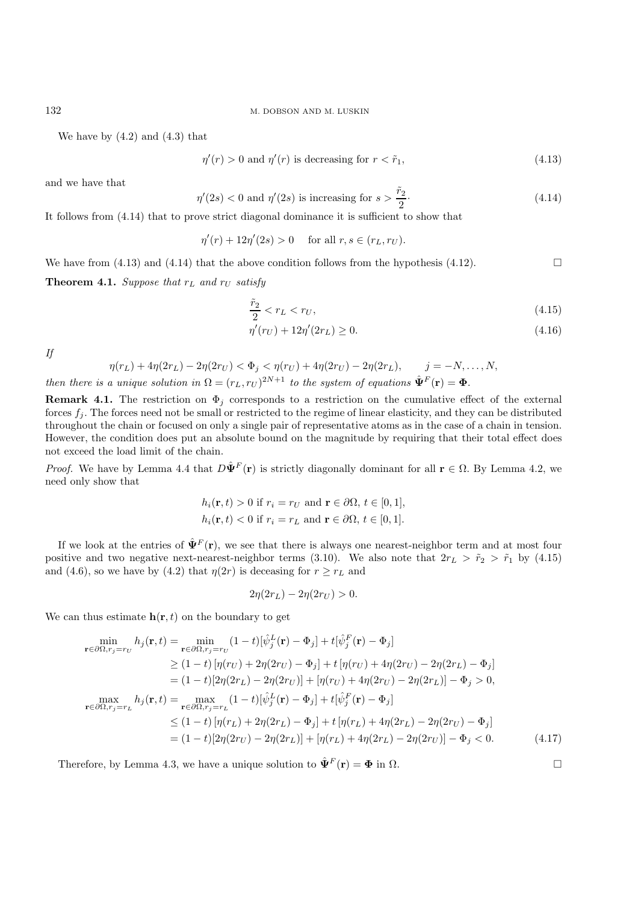We have by  $(4.2)$  and  $(4.3)$  that

$$
\eta'(r) > 0 \text{ and } \eta'(r) \text{ is decreasing for } r < \tilde{r}_1,\tag{4.13}
$$

and we have that

$$
\eta'(2s) < 0
$$
 and  $\eta'(2s)$  is increasing for  $s > \frac{\tilde{r}_2}{2}$ . (4.14)

It follows from (4.14) that to prove strict diagonal dominance it is sufficient to show that

$$
\eta'(r) + 12\eta'(2s) > 0 \quad \text{for all } r, s \in (r_L, r_U).
$$

We have from (4.13) and (4.14) that the above condition follows from the hypothesis (4.12).

**Theorem 4.1.** *Suppose that*  $r_L$  *and*  $r_U$  *satisfy* 

$$
\frac{\tilde{r}_2}{2} < r_L < r_U,\tag{4.15}
$$

$$
\eta'(r_U) + 12\eta'(2r_L) \ge 0. \tag{4.16}
$$

*If*

$$
\eta(r_L) + 4\eta(2r_L) - 2\eta(2r_U) < \Phi_j < \eta(r_U) + 4\eta(2r_U) - 2\eta(2r_L), \qquad j = -N, \dots, N,
$$

*then there is a unique solution in*  $\Omega = (r_L, r_U)^{2N+1}$  *to the system of equations*  $\hat{\Psi}^F(\mathbf{r}) = \Phi$ .

**Remark 4.1.** The restriction on  $\Phi_j$  corresponds to a restriction on the cumulative effect of the external forces  $f_j$ . The forces need not be small or restricted to the regime of linear elasticity, and they can be distributed throughout the chain or focused on only a single pair of representative atoms as in the case of a chain in tension. However, the condition does put an absolute bound on the magnitude by requiring that their total effect does not exceed the load limit of the chain.

*Proof.* We have by Lemma 4.4 that  $D\hat{\Psi}^F(\mathbf{r})$  is strictly diagonally dominant for all  $\mathbf{r} \in \Omega$ . By Lemma 4.2, we need only show that

$$
h_i(\mathbf{r}, t) > 0 \text{ if } r_i = r_U \text{ and } \mathbf{r} \in \partial\Omega, \ t \in [0, 1],
$$
\n
$$
h_i(\mathbf{r}, t) < 0 \text{ if } r_i = r_L \text{ and } \mathbf{r} \in \partial\Omega, \ t \in [0, 1].
$$

If we look at the entries of  $\hat{\Psi}^F(\mathbf{r})$ , we see that there is always one nearest-neighbor term and at most four positive and two negative next-nearest-neighbor terms (3.10). We also note that  $2r<sub>L</sub> > \tilde{r}<sub>2</sub> > \tilde{r}<sub>1</sub>$  by (4.15) and (4.6), so we have by (4.2) that  $\eta(2r)$  is deceasing for  $r \geq r_L$  and

$$
2\eta(2r_L) - 2\eta(2r_U) > 0.
$$

We can thus estimate  $h(r, t)$  on the boundary to get

$$
\min_{\mathbf{r}\in\partial\Omega,r_j=r_U} h_j(\mathbf{r},t) = \min_{\mathbf{r}\in\partial\Omega,r_j=r_U} (1-t)[\hat{\psi}_j^L(\mathbf{r}) - \Phi_j] + t[\hat{\psi}_j^F(\mathbf{r}) - \Phi_j]
$$
\n
$$
\geq (1-t) [\eta(r_U) + 2\eta(2r_U) - \Phi_j] + t[\eta(r_U) + 4\eta(2r_U) - 2\eta(2r_L) - \Phi_j]
$$
\n
$$
= (1-t)[2\eta(2r_L) - 2\eta(2r_U)] + [\eta(r_U) + 4\eta(2r_U) - 2\eta(2r_L)] - \Phi_j > 0,
$$
\n
$$
\max_{\mathbf{r}\in\partial\Omega,r_j=r_L} h_j(\mathbf{r},t) = \max_{\mathbf{r}\in\partial\Omega,r_j=r_L} (1-t)[\hat{\psi}_j^L(\mathbf{r}) - \Phi_j] + t[\hat{\psi}_j^F(\mathbf{r}) - \Phi_j]
$$
\n
$$
\leq (1-t)[\eta(r_L) + 2\eta(2r_L) - \Phi_j] + t[\eta(r_L) + 4\eta(2r_L) - 2\eta(2r_U) - \Phi_j]
$$
\n
$$
= (1-t)[2\eta(2r_U) - 2\eta(2r_L)] + [\eta(r_L) + 4\eta(2r_L) - 2\eta(2r_U)] - \Phi_j < 0.
$$
\n(4.17)

Therefore, by Lemma 4.3, we have a unique solution to  $\hat{\Psi}^F(\mathbf{r}) = \Phi$  in  $\Omega$ .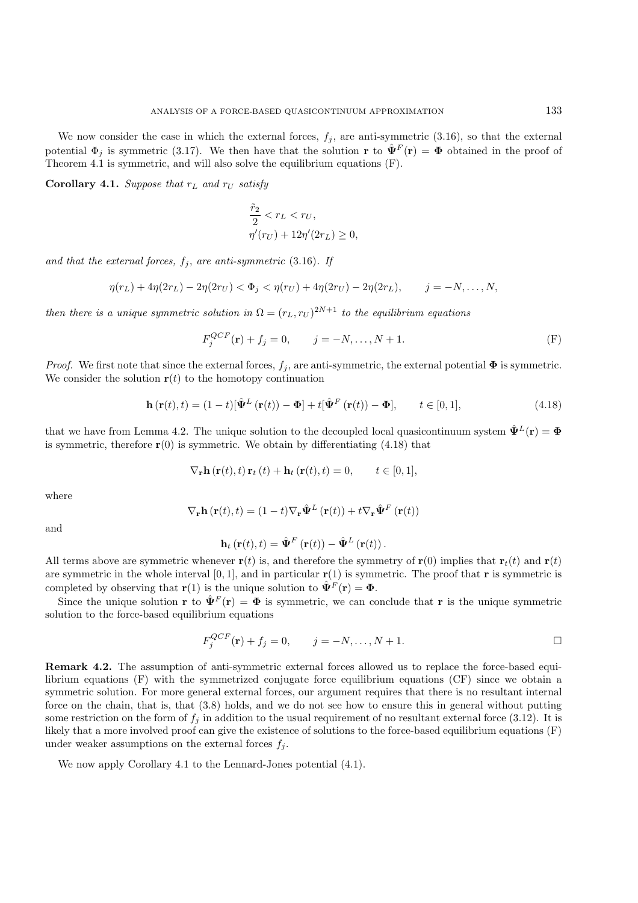We now consider the case in which the external forces,  $f_i$ , are anti-symmetric (3.16), so that the external potential  $\Phi_i$  is symmetric (3.17). We then have that the solution **r** to  $\hat{\Psi}^F(\mathbf{r}) = \Phi$  obtained in the proof of Theorem 4.1 is symmetric, and will also solve the equilibrium equations (F).

**Corollary 4.1.** *Suppose that*  $r_L$  *and*  $r_U$  *satisfy* 

$$
\frac{\tilde{r}_2}{2} < r_L < r_U, \\
\eta'(r_U) + 12\eta'(2r_L) \ge 0,
$$

and that the external forces,  $f_j$ , are anti-symmetric (3.16). If

$$
\eta(r_L) + 4\eta(2r_L) - 2\eta(2r_U) < \Phi_j < \eta(r_U) + 4\eta(2r_U) - 2\eta(2r_L), \qquad j = -N, \dots, N,
$$

*then there is a unique symmetric solution in*  $\Omega = (r_L, r_U)^{2N+1}$  *to the equilibrium equations* 

$$
F_j^{QCF}(\mathbf{r}) + f_j = 0, \qquad j = -N, \dots, N+1.
$$
 (F)

*Proof.* We first note that since the external forces,  $f_j$ , are anti-symmetric, the external potential  $\Phi$  is symmetric. We consider the solution  $r(t)$  to the homotopy continuation

$$
\mathbf{h}\left(\mathbf{r}(t),t\right) = (1-t)\left[\hat{\mathbf{\Psi}}^{L}\left(\mathbf{r}(t)\right) - \mathbf{\Phi}\right] + t\left[\hat{\mathbf{\Psi}}^{F}\left(\mathbf{r}(t)\right) - \mathbf{\Phi}\right], \qquad t \in [0,1],
$$
\n(4.18)

that we have from Lemma 4.2. The unique solution to the decoupled local quasicontinuum system  $\hat{\Psi}^L(\mathbf{r}) = \Phi$ is symmetric, therefore  $\mathbf{r}(0)$  is symmetric. We obtain by differentiating (4.18) that

$$
\nabla_{\mathbf{r}} \mathbf{h}\left(\mathbf{r}(t), t\right) \mathbf{r}_t\left(t\right) + \mathbf{h}_t\left(\mathbf{r}(t), t\right) = 0, \qquad t \in [0, 1],
$$

where

$$
\nabla_{\mathbf{r}} \mathbf{h}(\mathbf{r}(t),t) = (1-t) \nabla_{\mathbf{r}} \hat{\mathbf{\Psi}}^{L}(\mathbf{r}(t)) + t \nabla_{\mathbf{r}} \hat{\mathbf{\Psi}}^{F}(\mathbf{r}(t))
$$

and

$$
\mathbf{h}_t\left(\mathbf{r}(t),t\right) = \hat{\mathbf{\Psi}}^F\left(\mathbf{r}(t)\right) - \hat{\mathbf{\Psi}}^L\left(\mathbf{r}(t)\right).
$$

All terms above are symmetric whenever  $\mathbf{r}(t)$  is, and therefore the symmetry of  $\mathbf{r}(0)$  implies that  $\mathbf{r}_t(t)$  and  $\mathbf{r}(t)$ are symmetric in the whole interval  $[0, 1]$ , and in particular  $\mathbf{r}(1)$  is symmetric. The proof that **r** is symmetric is completed by observing that **r**(1) is the unique solution to  $\hat{\Psi}^F(\mathbf{r}) = \Phi$ .

Since the unique solution **r** to  $\hat{\Psi}^F(\mathbf{r}) = \Phi$  is symmetric, we can conclude that **r** is the unique symmetric solution to the force-based equilibrium equations

$$
F_j^{QCF}(\mathbf{r}) + f_j = 0, \qquad j = -N, \dots, N+1.
$$

**Remark 4.2.** The assumption of anti-symmetric external forces allowed us to replace the force-based equilibrium equations (F) with the symmetrized conjugate force equilibrium equations (CF) since we obtain a symmetric solution. For more general external forces, our argument requires that there is no resultant internal force on the chain, that is, that (3.8) holds, and we do not see how to ensure this in general without putting some restriction on the form of  $f_j$  in addition to the usual requirement of no resultant external force (3.12). It is likely that a more involved proof can give the existence of solutions to the force-based equilibrium equations (F) under weaker assumptions on the external forces  $f_i$ .

We now apply Corollary 4.1 to the Lennard-Jones potential  $(4.1)$ .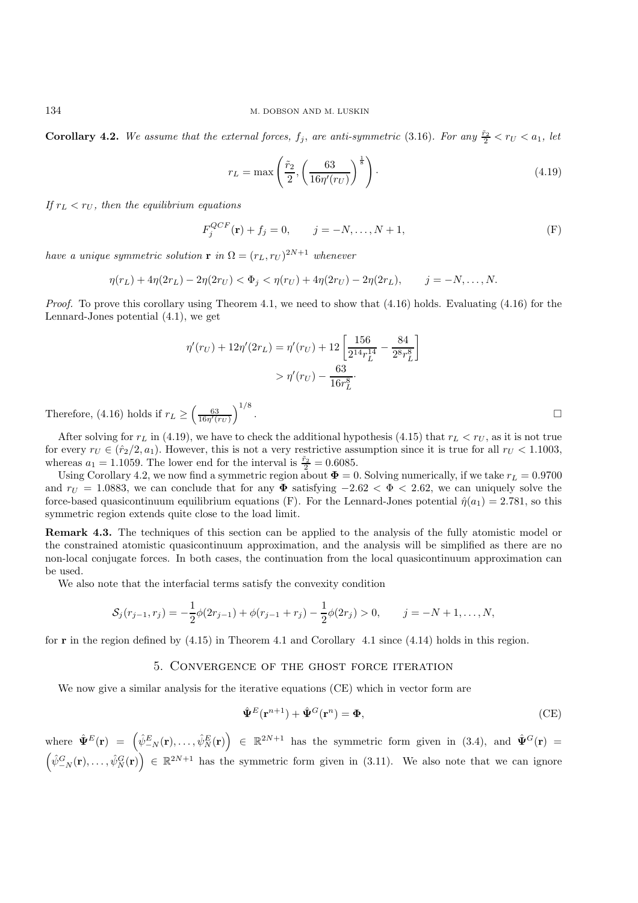**Corollary 4.2.** We assume that the external forces,  $f_j$ , are anti-symmetric (3.16). For any  $\frac{\tilde{r}_2}{2} < r_U < a_1$ , let

$$
r_L = \max\left(\frac{\tilde{r}_2}{2}, \left(\frac{63}{16\eta'(r_U)}\right)^{\frac{1}{8}}\right). \tag{4.19}
$$

*If*  $r_L < r_U$ , then the equilibrium equations

$$
F_j^{QCF}(\mathbf{r}) + f_j = 0, \qquad j = -N, \dots, N+1,
$$
 (F)

*have a unique symmetric solution* **r** *in*  $\Omega = (r_L, r_U)^{2N+1}$  *whenever* 

 $\eta(r_L) + 4\eta(2r_L) - 2\eta(2r_U) < \Phi_i < \eta(r_U) + 4\eta(2r_U) - 2\eta(2r_L), \qquad j = -N, \ldots, N.$ 

*Proof.* To prove this corollary using Theorem 4.1, we need to show that (4.16) holds. Evaluating (4.16) for the Lennard-Jones potential (4.1), we get

$$
\eta'(r_U) + 12\eta'(2r_L) = \eta'(r_U) + 12\left[\frac{156}{2^{14}r_L^{14}} - \frac{84}{2^8r_L^8}\right] > \eta'(r_U) - \frac{63}{16r_L^8}.
$$

Therefore, (4.16) holds if  $r_L \geq \left(\frac{63}{16\eta'(r_U)}\right)^{1/8}$ 

After solving for  $r_L$  in (4.19), we have to check the additional hypothesis (4.15) that  $r_L < r_U$ , as it is not true for every  $r_U \in (\hat{r}_2/2, a_1)$ . However, this is not a very restrictive assumption since it is true for all  $r_U < 1.1003$ , whereas  $a_1 = 1.1059$ . The lower end for the interval is  $\frac{\tilde{r}_2}{2} = 0.6085$ .

Using Corollary 4.2, we now find a symmetric region about  $\mathbf{\Phi} = 0$ . Solving numerically, if we take  $r_L = 0.9700$ and  $r_U = 1.0883$ , we can conclude that for any  $\Phi$  satisfying  $-2.62 < \Phi < 2.62$ , we can uniquely solve the force-based quasicontinuum equilibrium equations (F). For the Lennard-Jones potential  $\hat{\eta}(a_1)=2.781$ , so this symmetric region extends quite close to the load limit.

**Remark 4.3.** The techniques of this section can be applied to the analysis of the fully atomistic model or the constrained atomistic quasicontinuum approximation, and the analysis will be simplified as there are no non-local conjugate forces. In both cases, the continuation from the local quasicontinuum approximation can be used.

We also note that the interfacial terms satisfy the convexity condition

$$
S_j(r_{j-1},r_j) = -\frac{1}{2}\phi(2r_{j-1}) + \phi(r_{j-1} + r_j) - \frac{1}{2}\phi(2r_j) > 0, \qquad j = -N+1,\ldots,N,
$$

for **r** in the region defined by (4.15) in Theorem 4.1 and Corollary 4.1 since (4.14) holds in this region.

### 5. Convergence of the ghost force iteration

We now give a similar analysis for the iterative equations (CE) which in vector form are

$$
\hat{\Psi}^{E}(\mathbf{r}^{n+1}) + \hat{\Psi}^{G}(\mathbf{r}^{n}) = \Phi,
$$
\n(CE)

 $\hat{\mathbf{\Psi}}^E(\mathbf{r}) = \left( \hat{\psi}^E_{-N}(\mathbf{r}), \ldots, \hat{\psi}^E_N(\mathbf{r}) \right) \in \mathbb{R}^{2N+1}$  has the symmetric form given in (3.4), and  $\hat{\mathbf{\Psi}}^G(\mathbf{r}) =$  $(\hat{\psi}^G_{-N}(\mathbf{r}),\ldots,\hat{\psi}^G_N(\mathbf{r})) \in \mathbb{R}^{2N+1}$  has the symmetric form given in (3.11). We also note that we can ignore

.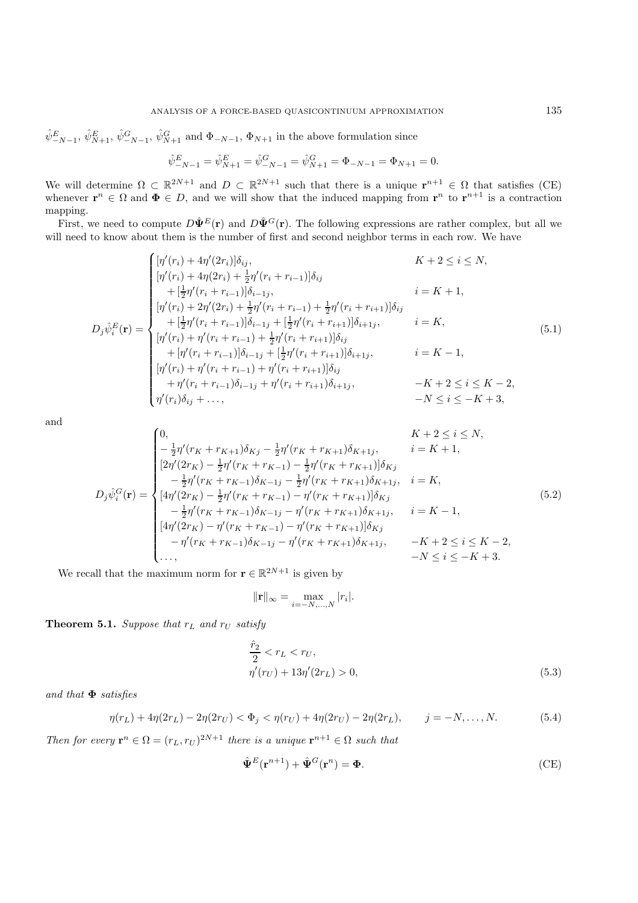$\hat{\psi}^E_{-N-1}, \hat{\psi}^E_{N+1}, \hat{\psi}^G_{-N-1}, \hat{\psi}^G_{N+1}$  and  $\Phi_{-N-1}, \Phi_{N+1}$  in the above formulation since

$$
\hat{\psi}_{-N-1}^{E} = \hat{\psi}_{N+1}^{E} = \hat{\psi}_{-N-1}^{G} = \hat{\psi}_{N+1}^{G} = \Phi_{-N-1} = \Phi_{N+1} = 0.
$$

We will determine  $\Omega \subset \mathbb{R}^{2N+1}$  and  $D \subset \mathbb{R}^{2N+1}$  such that there is a unique  $\mathbf{r}^{n+1} \in \Omega$  that satisfies (CE) whenever  $\mathbf{r}^n \in \Omega$  and  $\Phi \in D$ , and we will show that the induced mapping from  $\mathbf{r}^n$  to  $\mathbf{r}^{n+1}$  is a contraction mapping.

First, we need to compute  $D\hat{\Psi}^E(\mathbf{r})$  and  $D\hat{\Psi}^G(\mathbf{r})$ . The following expressions are rather complex, but all we will need to know about them is the number of first and second neighbor terms in each row. We have

$$
D_{j}\hat{\psi}_{i}^{E}(\mathbf{r}) = \begin{cases} [\eta'(r_{i}) + 4\eta'(2r_{i})]\delta_{ij}, & K+2 \leq i \leq N, \\ [\eta'(r_{i}) + 4\eta(2r_{i}) + \frac{1}{2}\eta'(r_{i} + r_{i-1})]\delta_{i} \\ + [\frac{1}{2}\eta'(r_{i} + r_{i-1})]\delta_{i-1j}, & i = K+1, \\ [\eta'(r_{i}) + 2\eta'(2r_{i}) + \frac{1}{2}\eta'(r_{i} + r_{i-1}) + \frac{1}{2}\eta'(r_{i} + r_{i+1})]\delta_{ij} \\ + [\frac{1}{2}\eta'(r_{i} + r_{i-1})]\delta_{i-1j} + [\frac{1}{2}\eta'(r_{i} + r_{i+1})]\delta_{i+1j}, & i = K, \\ [\eta'(r_{i}) + \eta'(r_{i} + r_{i-1}) + \frac{1}{2}\eta'(r_{i} + r_{i+1})]\delta_{ij} \\ + [\eta'(r_{i} + r_{i-1})]\delta_{i-1j} + [\frac{1}{2}\eta'(r_{i} + r_{i+1})]\delta_{i+1j}, & i = K-1, \\ [\eta'(r_{i}) + \eta'(r_{i} + r_{i-1}) + \eta'(r_{i} + r_{i+1})]\delta_{ij} \\ + \eta'(r_{i} + r_{i-1})\delta_{i-1j} + \eta'(r_{i} + r_{i+1})\delta_{i+1j}, & -K+2 \leq i \leq K-2, \\ \eta'(r_{i})\delta_{ij} + \ldots, & -N \leq i \leq -K+3, \end{cases}
$$
\n(5.1)

and

$$
D_{j}\hat{\psi}_{i}^{G}(\mathbf{r}) = \begin{cases} 0, & K+2 \leq i \leq N, \\ -\frac{1}{2}\eta'(r_{K}+r_{K+1})\delta_{Kj} - \frac{1}{2}\eta'(r_{K}+r_{K+1})\delta_{K+1j}, & i = K+1, \\ [2\eta'(2r_{K}) - \frac{1}{2}\eta'(r_{K}+r_{K-1}) - \frac{1}{2}\eta'(r_{K}+r_{K+1})]\delta_{Kj} \\ -\frac{1}{2}\eta'(r_{K}+r_{K-1})\delta_{K-1j} - \frac{1}{2}\eta'(r_{K}+r_{K+1})\delta_{K+1j}, & i = K, \\ [4\eta'(2r_{K}) - \frac{1}{2}\eta'(r_{K}+r_{K-1}) - \eta'(r_{K}+r_{K+1})]\delta_{Kj} \\ -\frac{1}{2}\eta'(r_{K}+r_{K-1})\delta_{K-1j} - \eta'(r_{K}+r_{K+1})\delta_{K+1j}, & i = K-1, \\ [4\eta'(2r_{K}) - \eta'(r_{K}+r_{K-1}) - \eta'(r_{K}+r_{K+1})]\delta_{Kj} \\ -\eta'(r_{K}+r_{K-1})\delta_{K-1j} - \eta'(r_{K}+r_{K+1})\delta_{K+1j}, & -K+2 \leq i \leq K-2, \\ \dots, & -N \leq i \leq -K+3. \end{cases}
$$
\n(5.2)

We recall that the maximum norm for  $\mathbf{r} \in \mathbb{R}^{2N+1}$  is given by

$$
\|\mathbf{r}\|_{\infty} = \max_{i=-N,\dots,N} |r_i|.
$$

**Theorem 5.1.** *Suppose that*  $r_L$  *and*  $r_U$  *satisfy* 

$$
\frac{\hat{r}_2}{2} < r_L < r_U, \\
\eta'(r_U) + 13\eta'(2r_L) > 0,\n\tag{5.3}
$$

*and that* **Φ** *satisfies*

$$
\eta(r_L) + 4\eta(2r_L) - 2\eta(2r_U) < \Phi_j < \eta(r_U) + 4\eta(2r_U) - 2\eta(2r_L), \qquad j = -N, \dots, N. \tag{5.4}
$$

*Then for every*  $\mathbf{r}^n \in \Omega = (r_L, r_U)^{2N+1}$  *there is a unique*  $\mathbf{r}^{n+1} \in \Omega$  *such that* 

$$
\hat{\Psi}^{E}(\mathbf{r}^{n+1}) + \hat{\Psi}^{G}(\mathbf{r}^{n}) = \Phi.
$$
\n(CE)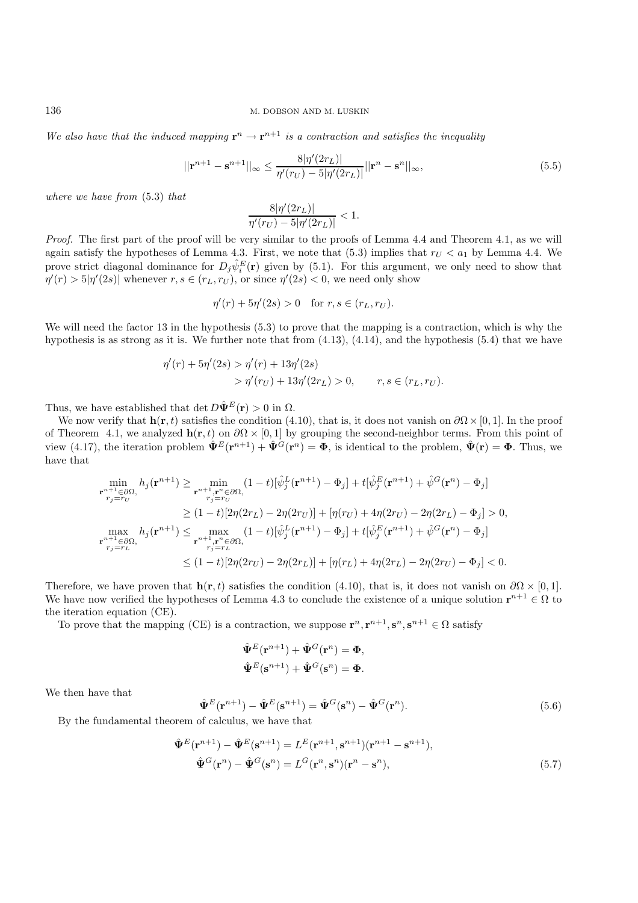*We also have that the induced mapping*  $\mathbf{r}^n \to \mathbf{r}^{n+1}$  *is a contraction and satisfies the inequality* 

$$
||\mathbf{r}^{n+1} - \mathbf{s}^{n+1}||_{\infty} \le \frac{8|\eta'(2r_L)|}{\eta'(r_U) - 5|\eta'(2r_L)|} ||\mathbf{r}^n - \mathbf{s}^n||_{\infty},\tag{5.5}
$$

*where we have from* (5.3) *that*

$$
\frac{8|\eta'(2r_L)|}{\eta'(r_U) - 5|\eta'(2r_L)|} < 1.
$$

*Proof.* The first part of the proof will be very similar to the proofs of Lemma 4.4 and Theorem 4.1, as we will again satisfy the hypotheses of Lemma 4.3. First, we note that (5.3) implies that  $r_U < a_1$  by Lemma 4.4. We prove strict diagonal dominance for  $D_j \hat{\psi}_i^E(\mathbf{r})$  given by (5.1). For this argument, we only need to show that  $\eta'(r) > 5|\eta'(2s)|$  whenever  $r, s \in (r_L, r_U)$ , or since  $\eta'(2s) < 0$ , we need only show

$$
\eta'(r) + 5\eta'(2s) > 0
$$
 for  $r, s \in (r_L, r_U)$ .

We will need the factor 13 in the hypothesis  $(5.3)$  to prove that the mapping is a contraction, which is why the hypothesis is as strong as it is. We further note that from  $(4.13)$ ,  $(4.14)$ , and the hypothesis  $(5.4)$  that we have

$$
\eta'(r) + 5\eta'(2s) > \eta'(r) + 13\eta'(2s)
$$
  
> 
$$
\eta'(r_U) + 13\eta'(2r_L) > 0, \qquad r, s \in (r_L, r_U).
$$

Thus, we have established that det  $D\hat{\Psi}^E(\mathbf{r}) > 0$  in  $\Omega$ .

We now verify that  $\mathbf{h}(\mathbf{r}, t)$  satisfies the condition (4.10), that is, it does not vanish on  $\partial\Omega \times [0, 1]$ . In the proof of Theorem 4.1, we analyzed  $h(r, t)$  on  $\partial\Omega \times [0, 1]$  by grouping the second-neighbor terms. From this point of view (4.17), the iteration problem  $\hat{\Psi}^E(\mathbf{r}^{n+1}) + \hat{\Psi}^G(\mathbf{r}^n) = \Phi$ , is identical to the problem,  $\hat{\Psi}(\mathbf{r}) = \Phi$ . Thus, we have that

$$
\min_{\substack{\mathbf{r}^{n+1}\in\partial\Omega,\\r_j=r_U}} h_j(\mathbf{r}^{n+1}) \ge \min_{\substack{\mathbf{r}^{n+1},\mathbf{r}^n\in\partial\Omega,\\r_j=r_U}} (1-t)[\hat{\psi}_j^L(\mathbf{r}^{n+1})-\Phi_j] + t[\hat{\psi}_j^E(\mathbf{r}^{n+1})+\hat{\psi}^G(\mathbf{r}^n)-\Phi_j]
$$
\n
$$
\ge (1-t)[2\eta(2r_L)-2\eta(2r_U)] + [\eta(r_U)+4\eta(2r_U)-2\eta(2r_L)-\Phi_j] > 0,
$$
\n
$$
\max_{\substack{\mathbf{r}^{n+1}\in\partial\Omega,\\r_j=r_L}} h_j(\mathbf{r}^{n+1}) \le \max_{\substack{\mathbf{r}^{n+1},\mathbf{r}^n\in\partial\Omega,\\r_j=r_L}} (1-t)[\hat{\psi}_j^L(\mathbf{r}^{n+1})-\Phi_j] + t[\hat{\psi}_j^E(\mathbf{r}^{n+1})+\hat{\psi}^G(\mathbf{r}^n)-\Phi_j]
$$
\n
$$
\le (1-t)[2\eta(2r_U)-2\eta(2r_L)] + [\eta(r_L)+4\eta(2r_L)-2\eta(2r_U)-\Phi_j] < 0.
$$

Therefore, we have proven that  $\mathbf{h}(\mathbf{r}, t)$  satisfies the condition (4.10), that is, it does not vanish on  $\partial\Omega \times [0, 1]$ . We have now verified the hypotheses of Lemma 4.3 to conclude the existence of a unique solution  $\mathbf{r}^{n+1} \in \Omega$  to the iteration equation (CE).

To prove that the mapping (CE) is a contraction, we suppose  $\mathbf{r}^n, \mathbf{r}^{n+1}, \mathbf{s}^n, \mathbf{s}^{n+1} \in \Omega$  satisfy

$$
\hat{\Psi}^{E}(\mathbf{r}^{n+1}) + \hat{\Psi}^{G}(\mathbf{r}^{n}) = \Phi,
$$
  

$$
\hat{\Psi}^{E}(\mathbf{s}^{n+1}) + \hat{\Psi}^{G}(\mathbf{s}^{n}) = \Phi.
$$

We then have that

$$
\hat{\Psi}^{E}(\mathbf{r}^{n+1}) - \hat{\Psi}^{E}(\mathbf{s}^{n+1}) = \hat{\Psi}^{G}(\mathbf{s}^{n}) - \hat{\Psi}^{G}(\mathbf{r}^{n}).
$$
\n(5.6)

By the fundamental theorem of calculus, we have that

$$
\hat{\Psi}^{E}(\mathbf{r}^{n+1}) - \hat{\Psi}^{E}(\mathbf{s}^{n+1}) = L^{E}(\mathbf{r}^{n+1}, \mathbf{s}^{n+1})(\mathbf{r}^{n+1} - \mathbf{s}^{n+1}),
$$
  

$$
\hat{\Psi}^{G}(\mathbf{r}^{n}) - \hat{\Psi}^{G}(\mathbf{s}^{n}) = L^{G}(\mathbf{r}^{n}, \mathbf{s}^{n})(\mathbf{r}^{n} - \mathbf{s}^{n}),
$$
\n(5.7)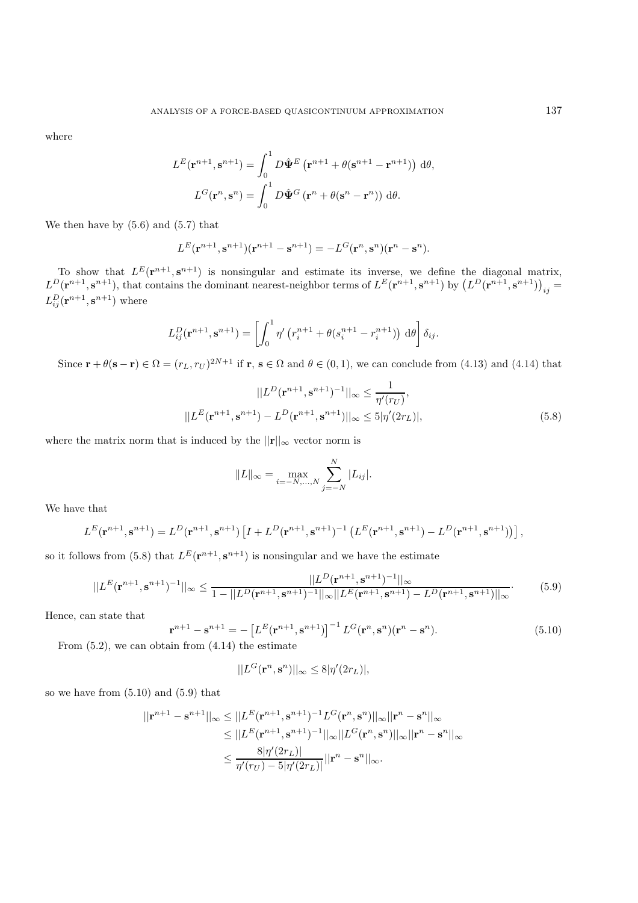where

$$
L^{E}(\mathbf{r}^{n+1}, \mathbf{s}^{n+1}) = \int_{0}^{1} D\hat{\Psi}^{E} (\mathbf{r}^{n+1} + \theta(\mathbf{s}^{n+1} - \mathbf{r}^{n+1})) d\theta,
$$

$$
L^{G}(\mathbf{r}^{n}, \mathbf{s}^{n}) = \int_{0}^{1} D\hat{\Psi}^{G} (\mathbf{r}^{n} + \theta(\mathbf{s}^{n} - \mathbf{r}^{n})) d\theta.
$$

We then have by  $(5.6)$  and  $(5.7)$  that

$$
L^{E}(\mathbf{r}^{n+1}, \mathbf{s}^{n+1})(\mathbf{r}^{n+1} - \mathbf{s}^{n+1}) = -L^{G}(\mathbf{r}^{n}, \mathbf{s}^{n})(\mathbf{r}^{n} - \mathbf{s}^{n}).
$$

To show that  $L^E(\mathbf{r}^{n+1}, \mathbf{s}^{n+1})$  is nonsingular and estimate its inverse, we define the diagonal matrix,  $L^D(\mathbf{r}^{n+1}, \mathbf{s}^{n+1})$ , that contains the dominant nearest-neighbor terms of  $L^E(\mathbf{r}^{n+1}, \mathbf{s}^{n+1})$  by  $(L^D(\mathbf{r}^{n+1}, \mathbf{s}^{n+1}))_{ij} =$  $L_{ij}^D(\mathbf{r}^{n+1}, \mathbf{s}^{n+1})$  where

$$
L_{ij}^D(\mathbf{r}^{n+1},\mathbf{s}^{n+1}) = \left[\int_0^1 \eta' \left(r_i^{n+1} + \theta(s_i^{n+1} - r_i^{n+1})\right) d\theta\right] \delta_{ij}.
$$

Since  $\mathbf{r} + \theta(\mathbf{s} - \mathbf{r}) \in \Omega = (r_L, r_U)^{2N+1}$  if  $\mathbf{r}, \mathbf{s} \in \Omega$  and  $\theta \in (0, 1)$ , we can conclude from (4.13) and (4.14) that

$$
||L^{D}(\mathbf{r}^{n+1}, \mathbf{s}^{n+1})^{-1}||_{\infty} \le \frac{1}{\eta'(r_U)},
$$
  

$$
||L^{E}(\mathbf{r}^{n+1}, \mathbf{s}^{n+1}) - L^{D}(\mathbf{r}^{n+1}, \mathbf{s}^{n+1})||_{\infty} \le 5|\eta'(2r_L)|,
$$
 (5.8)

where the matrix norm that is induced by the  $||\mathbf{r}||_{\infty}$  vector norm is

$$
||L||_{\infty} = \max_{i=-N,...,N} \sum_{j=-N}^{N} |L_{ij}|.
$$

We have that

$$
L^{E}(\mathbf{r}^{n+1}, \mathbf{s}^{n+1}) = L^{D}(\mathbf{r}^{n+1}, \mathbf{s}^{n+1}) \left[ I + L^{D}(\mathbf{r}^{n+1}, \mathbf{s}^{n+1})^{-1} \left( L^{E}(\mathbf{r}^{n+1}, \mathbf{s}^{n+1}) - L^{D}(\mathbf{r}^{n+1}, \mathbf{s}^{n+1}) \right) \right],
$$

so it follows from (5.8) that  $L^E(\mathbf{r}^{n+1}, \mathbf{s}^{n+1})$  is nonsingular and we have the estimate

$$
||L^{E}(\mathbf{r}^{n+1}, \mathbf{s}^{n+1})^{-1}||_{\infty} \le \frac{||L^{D}(\mathbf{r}^{n+1}, \mathbf{s}^{n+1})^{-1}||_{\infty}}{1 - ||L^{D}(\mathbf{r}^{n+1}, \mathbf{s}^{n+1})^{-1}||_{\infty}||L^{E}(\mathbf{r}^{n+1}, \mathbf{s}^{n+1}) - L^{D}(\mathbf{r}^{n+1}, \mathbf{s}^{n+1})||_{\infty}}.
$$
(5.9)

Hence, can state that

$$
\mathbf{r}^{n+1} - \mathbf{s}^{n+1} = -\left[L^E(\mathbf{r}^{n+1}, \mathbf{s}^{n+1})\right]^{-1} L^G(\mathbf{r}^n, \mathbf{s}^n)(\mathbf{r}^n - \mathbf{s}^n). \tag{5.10}
$$

From  $(5.2)$ , we can obtain from  $(4.14)$  the estimate

$$
||L^G(\mathbf{r}^n, \mathbf{s}^n)||_{\infty} \le 8|\eta'(2r_L)|,
$$

so we have from (5.10) and (5.9) that

$$
||\mathbf{r}^{n+1} - \mathbf{s}^{n+1}||_{\infty} \le ||L^{E}(\mathbf{r}^{n+1}, \mathbf{s}^{n+1})^{-1}L^{G}(\mathbf{r}^{n}, \mathbf{s}^{n})||_{\infty}||\mathbf{r}^{n} - \mathbf{s}^{n}||_{\infty}
$$
  
\n
$$
\le ||L^{E}(\mathbf{r}^{n+1}, \mathbf{s}^{n+1})^{-1}||_{\infty}||L^{G}(\mathbf{r}^{n}, \mathbf{s}^{n})||_{\infty}||\mathbf{r}^{n} - \mathbf{s}^{n}||_{\infty}
$$
  
\n
$$
\le \frac{8|\eta'(2r_{L})|}{\eta'(r_{U}) - 5|\eta'(2r_{L})|}||\mathbf{r}^{n} - \mathbf{s}^{n}||_{\infty}.
$$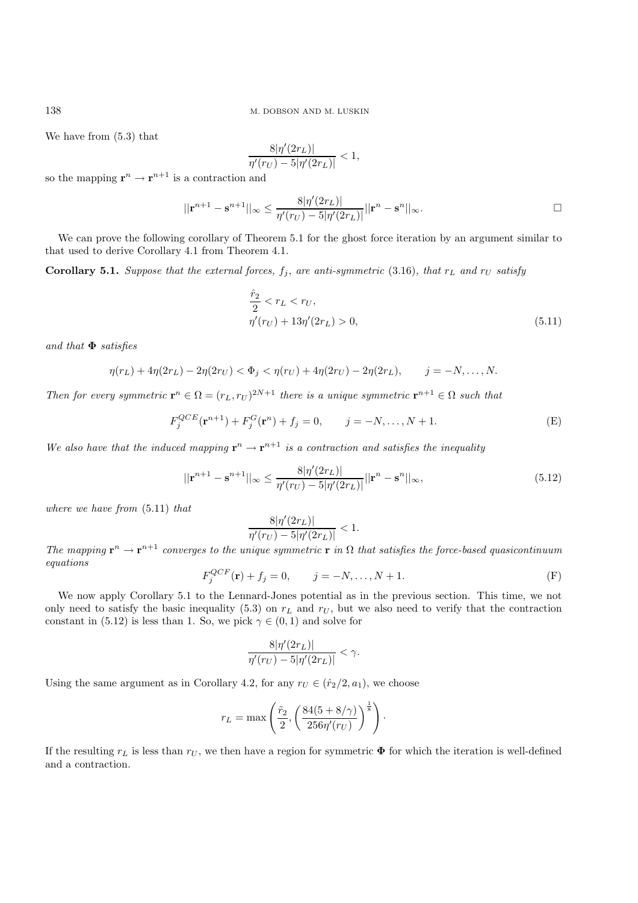We have from (5.3) that

$$
\frac{8|\eta'(2r_L)|}{\eta'(r_U) - 5|\eta'(2r_L)|} < 1,
$$

so the mapping  $\mathbf{r}^n \to \mathbf{r}^{n+1}$  is a contraction and

$$
||\mathbf{r}^{n+1} - \mathbf{s}^{n+1}||_{\infty} \le \frac{8|\eta'(2r_L)|}{\eta'(r_U) - 5|\eta'(2r_L)|}||\mathbf{r}^n - \mathbf{s}^n||_{\infty}.
$$

We can prove the following corollary of Theorem 5.1 for the ghost force iteration by an argument similar to that used to derive Corollary 4.1 from Theorem 4.1.

**Corollary 5.1.** *Suppose that the external forces,*  $f_j$ *, are anti-symmetric* (3.16)*, that*  $r_L$  *and*  $r_U$  *satisfy* 

$$
\frac{\hat{r}_2}{2} < r_L < r_U, \\
\eta'(r_U) + 13\eta'(2r_L) > 0,\n\tag{5.11}
$$

*and that* **Φ** *satisfies*

$$
\eta(r_L) + 4\eta(2r_L) - 2\eta(2r_U) < \Phi_j < \eta(r_U) + 4\eta(2r_U) - 2\eta(2r_L), \qquad j = -N, \dots, N.
$$

*Then for every symmetric*  $\mathbf{r}^n \in \Omega = (r_L, r_U)^{2N+1}$  *there is a unique symmetric*  $\mathbf{r}^{n+1} \in \Omega$  *such that* 

$$
F_j^{QCE}(\mathbf{r}^{n+1}) + F_j^G(\mathbf{r}^n) + f_j = 0, \qquad j = -N, \dots, N+1.
$$
 (E)

*We also have that the induced mapping*  $\mathbf{r}^n \to \mathbf{r}^{n+1}$  *is a contraction and satisfies the inequality* 

$$
||\mathbf{r}^{n+1} - \mathbf{s}^{n+1}||_{\infty} \le \frac{8|\eta'(2r_L)|}{\eta'(r_U) - 5|\eta'(2r_L)|} ||\mathbf{r}^n - \mathbf{s}^n||_{\infty},
$$
\n(5.12)

*where we have from* (5.11) *that*

$$
\frac{8|\eta'(2r_L)|}{\eta'(r_U) - 5|\eta'(2r_L)|} < 1.
$$

*The mapping*  $\mathbf{r}^n \to \mathbf{r}^{n+1}$  *converges to the unique symmetric*  $\mathbf{r}$  *in*  $\Omega$  *that satisfies the force-based quasicontinuum equations*

$$
F_j^{QCF}(\mathbf{r}) + f_j = 0, \qquad j = -N, \dots, N+1.
$$
 (F)

We now apply Corollary 5.1 to the Lennard-Jones potential as in the previous section. This time, we not only need to satisfy the basic inequality (5.3) on  $r<sub>L</sub>$  and  $r<sub>U</sub>$ , but we also need to verify that the contraction constant in (5.12) is less than 1. So, we pick  $\gamma \in (0,1)$  and solve for

$$
\frac{8|\eta'(2r_L)|}{\eta'(r_U)-5|\eta'(2r_L)|}<\gamma.
$$

Using the same argument as in Corollary 4.2, for any  $r_U \in (\hat{r}_2/2, a_1)$ , we choose

$$
r_L = \max\left(\frac{\tilde{r}_2}{2}, \left(\frac{84(5+8/\gamma)}{256\eta'(r_U)}\right)^{\frac{1}{8}}\right).
$$

If the resulting  $r<sub>L</sub>$  is less than  $r<sub>U</sub>$ , we then have a region for symmetric  $\Phi$  for which the iteration is well-defined and a contraction.